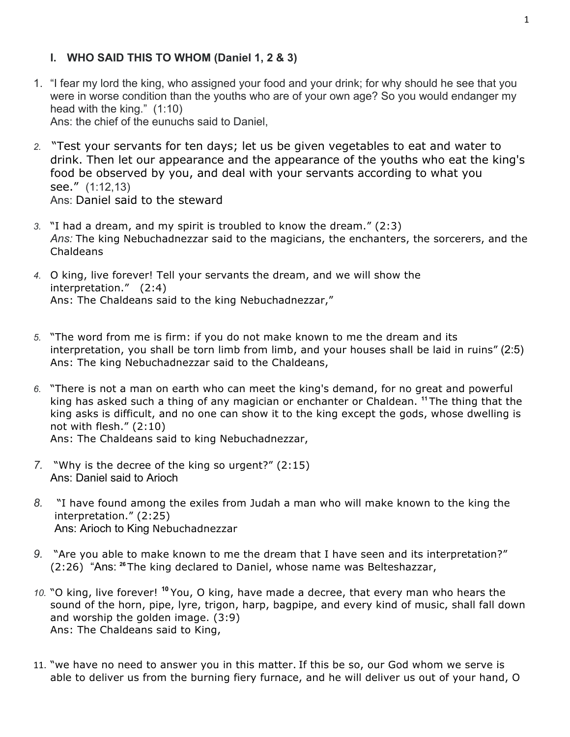### **I. WHO SAID THIS TO WHOM (Daniel 1, 2 & 3)**

1. "I fear my lord the king, who assigned your food and your drink; for why should he see that you were in worse condition than the youths who are of your own age? So you would endanger my head with the king." (1:10) Ans: the chief of the eunuchs said to Daniel,

*2.* "Test your servants for ten days; let us be given vegetables to eat and water to drink. Then let our appearance and the appearance of the youths who eat the king's food be observed by you, and deal with your servants according to what you see." (1:12,13) Ans: Daniel said to the steward

- *3.* "I had a dream, and my spirit is troubled to know the dream." (2:3) *Ans:* The king Nebuchadnezzar said to the magicians, the enchanters, the sorcerers, and the Chaldeans
- *4.* O king, live forever! Tell your servants the dream, and we will show the interpretation." (2:4) Ans: The Chaldeans said to the king Nebuchadnezzar,"
- *5.* "The word from me is firm: if you do not make known to me the dream and its interpretation, you shall be torn limb from limb, and your houses shall be laid in ruins" (2:5) Ans: The king Nebuchadnezzar said to the Chaldeans,
- *6.* "There is not a man on earth who can meet the king's demand, for no great and powerful king has asked such a thing of any magician or enchanter or Chaldean. **<sup>11</sup>** The thing that the king asks is difficult, and no one can show it to the king except the gods, whose dwelling is not with flesh." (2:10) Ans: The Chaldeans said to king Nebuchadnezzar,
- *7.* "Why is the decree of the king so urgent?" (2:15) Ans: Daniel said to Arioch
- *8.* "I have found among the exiles from Judah a man who will make known to the king the interpretation." (2:25) Ans: Arioch to King Nebuchadnezzar
- *9.* "Are you able to make known to me the dream that I have seen and its interpretation?" (2:26) "Ans: **<sup>26</sup>** The king declared to Daniel, whose name was Belteshazzar,
- *10.* "O king, live forever! **<sup>10</sup>** You, O king, have made a decree, that every man who hears the sound of the horn, pipe, lyre, trigon, harp, bagpipe, and every kind of music, shall fall down and worship the golden image. (3:9) Ans: The Chaldeans said to King,
- 11. "we have no need to answer you in this matter. If this be so, our God whom we serve is able to deliver us from the burning fiery furnace, and he will deliver us out of your hand, O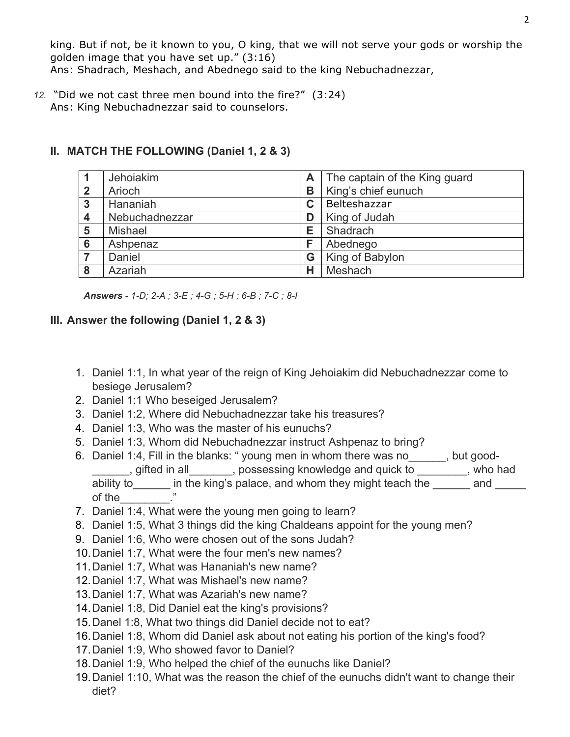king. But if not, be it known to you, O king, that we will not serve your gods or worship the golden image that you have set up." (3:16)

Ans: Shadrach, Meshach, and Abednego said to the king Nebuchadnezzar,

*12.* "Did we not cast three men bound into the fire?" (3:24) Ans: King Nebuchadnezzar said to counselors.

|                | Jehoiakim      | Α | The captain of the King guard |
|----------------|----------------|---|-------------------------------|
| $\overline{2}$ | Arioch         | B | King's chief eunuch           |
| 3              | Hananiah       | C | Belteshazzar                  |
| 4              | Nebuchadnezzar | D | King of Judah                 |
| 5              | <b>Mishael</b> | E | Shadrach                      |
| 6              | Ashpenaz       | F | Abednego                      |
|                | Daniel         | G | King of Babylon               |
| 8              | Azariah        | н | Meshach                       |

### **II. MATCH THE FOLLOWING (Daniel 1, 2 & 3)**

*Answers - 1-D; 2-A ; 3-E ; 4-G ; 5-H ; 6-B ; 7-C ; 8-I*

### **III. Answer the following (Daniel 1, 2 & 3)**

- 1. Daniel 1:1, In what year of the reign of King Jehoiakim did Nebuchadnezzar come to besiege Jerusalem?
- 2. Daniel 1:1 Who beseiged Jerusalem?
- 3. Daniel 1:2, Where did Nebuchadnezzar take his treasures?
- 4. Daniel 1:3, Who was the master of his eunuchs?
- 5. Daniel 1:3, Whom did Nebuchadnezzar instruct Ashpenaz to bring?
- 6. Daniel 1:4, Fill in the blanks: " young men in whom there was no\_\_\_\_\_\_, but good- , gifted in all \_\_\_\_\_\_, possessing knowledge and quick to \_\_\_\_\_\_\_, who had ability to in the king's palace, and whom they might teach the and of the\_\_\_\_\_\_\_\_."
- 7. Daniel 1:4, What were the young men going to learn?
- 8. Daniel 1:5, What 3 things did the king Chaldeans appoint for the young men?
- 9. Daniel 1:6, Who were chosen out of the sons Judah?
- 10.Daniel 1:7, What were the four men's new names?
- 11.Daniel 1:7, What was Hananiah's new name?
- 12.Daniel 1:7, What was Mishael's new name?
- 13.Daniel 1:7, What was Azariah's new name?
- 14.Daniel 1:8, Did Daniel eat the king's provisions?
- 15.Danel 1:8, What two things did Daniel decide not to eat?
- 16.Daniel 1:8, Whom did Daniel ask about not eating his portion of the king's food?
- 17.Daniel 1:9, Who showed favor to Daniel?
- 18.Daniel 1:9, Who helped the chief of the eunuchs like Daniel?
- 19.Daniel 1:10, What was the reason the chief of the eunuchs didn't want to change their diet?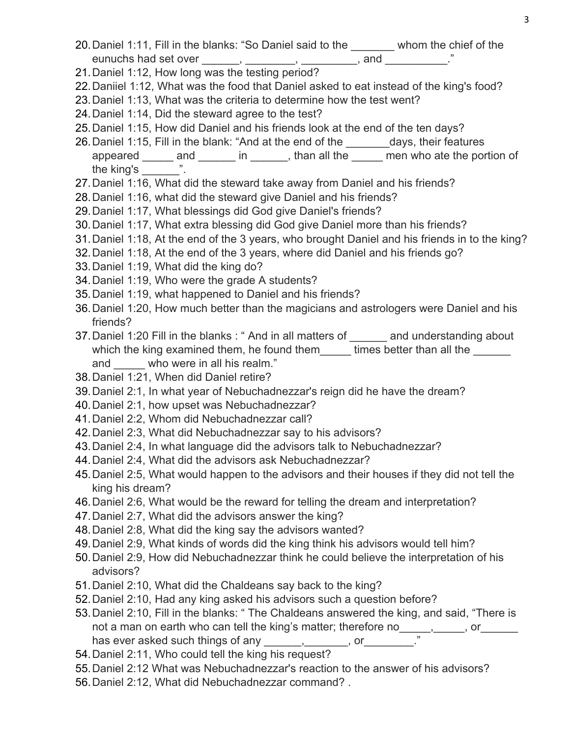- 20. Daniel 1:11, Fill in the blanks: "So Daniel said to the whom the chief of the eunuchs had set over \_\_\_\_\_\_, \_\_\_\_\_\_\_, \_\_\_\_\_\_\_, and \_\_\_\_\_\_\_\_\_.
- 21.Daniel 1:12, How long was the testing period?
- 22.Daniiel 1:12, What was the food that Daniel asked to eat instead of the king's food?
- 23.Daniel 1:13, What was the criteria to determine how the test went?
- 24.Daniel 1:14, Did the steward agree to the test?
- 25.Daniel 1:15, How did Daniel and his friends look at the end of the ten days?
- 26. Daniel 1:15, Fill in the blank: "And at the end of the days, their features appeared \_\_\_\_\_ and \_\_\_\_\_\_ in \_\_\_\_\_\_, than all the \_\_\_\_\_ men who ate the portion of the king's  $\qquad$ ".
- 27.Daniel 1:16, What did the steward take away from Daniel and his friends?
- 28.Daniel 1:16, what did the steward give Daniel and his friends?
- 29.Daniel 1:17, What blessings did God give Daniel's friends?
- 30.Daniel 1:17, What extra blessing did God give Daniel more than his friends?
- 31.Daniel 1:18, At the end of the 3 years, who brought Daniel and his friends in to the king?
- 32.Daniel 1:18, At the end of the 3 years, where did Daniel and his friends go?
- 33.Daniel 1:19, What did the king do?
- 34.Daniel 1:19, Who were the grade A students?
- 35.Daniel 1:19, what happened to Daniel and his friends?
- 36.Daniel 1:20, How much better than the magicians and astrologers were Daniel and his friends?
- 37. Daniel 1:20 Fill in the blanks : " And in all matters of \_\_\_\_\_\_ and understanding about which the king examined them, he found them dimes better than all the and who were in all his realm."
- 38.Daniel 1:21, When did Daniel retire?
- 39.Daniel 2:1, In what year of Nebuchadnezzar's reign did he have the dream?
- 40.Daniel 2:1, how upset was Nebuchadnezzar?
- 41.Daniel 2:2, Whom did Nebuchadnezzar call?
- 42.Daniel 2:3, What did Nebuchadnezzar say to his advisors?
- 43.Daniel 2:4, In what language did the advisors talk to Nebuchadnezzar?
- 44.Daniel 2:4, What did the advisors ask Nebuchadnezzar?
- 45.Daniel 2:5, What would happen to the advisors and their houses if they did not tell the king his dream?
- 46.Daniel 2:6, What would be the reward for telling the dream and interpretation?
- 47.Daniel 2:7, What did the advisors answer the king?
- 48.Daniel 2:8, What did the king say the advisors wanted?
- 49.Daniel 2:9, What kinds of words did the king think his advisors would tell him?
- 50.Daniel 2:9, How did Nebuchadnezzar think he could believe the interpretation of his advisors?
- 51.Daniel 2:10, What did the Chaldeans say back to the king?
- 52.Daniel 2:10, Had any king asked his advisors such a question before?
- 53.Daniel 2:10, Fill in the blanks: " The Chaldeans answered the king, and said, "There is not a man on earth who can tell the king's matter; therefore no\_\_\_\_\_,\_\_\_\_\_, or\_\_\_\_\_\_ has ever asked such things of any \_\_\_\_\_\_\_, \_\_\_\_\_\_, or \_\_\_\_\_\_\_\_
- 54.Daniel 2:11, Who could tell the king his request?
- 55.Daniel 2:12 What was Nebuchadnezzar's reaction to the answer of his advisors?
- 56.Daniel 2:12, What did Nebuchadnezzar command? .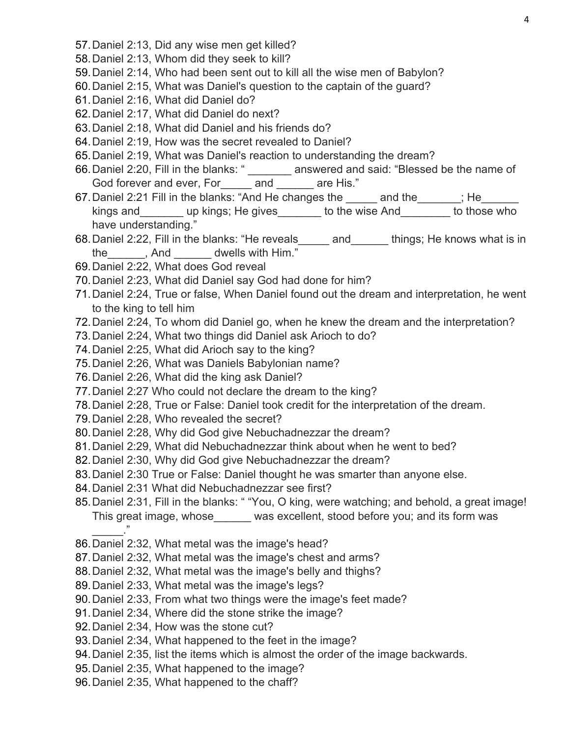- 57.Daniel 2:13, Did any wise men get killed?
- 58.Daniel 2:13, Whom did they seek to kill?
- 59.Daniel 2:14, Who had been sent out to kill all the wise men of Babylon?
- 60.Daniel 2:15, What was Daniel's question to the captain of the guard?
- 61.Daniel 2:16, What did Daniel do?
- 62.Daniel 2:17, What did Daniel do next?
- 63.Daniel 2:18, What did Daniel and his friends do?
- 64.Daniel 2:19, How was the secret revealed to Daniel?
- 65.Daniel 2:19, What was Daniel's reaction to understanding the dream?
- 66.Daniel 2:20, Fill in the blanks: " \_\_\_\_\_\_\_ answered and said: "Blessed be the name of God forever and ever, For and are His."
- 67. Daniel 2:21 Fill in the blanks: "And He changes the and the  $\qquad$ ; He kings and \_\_\_\_\_\_\_ up kings; He gives \_\_\_\_\_\_\_ to the wise And \_\_\_\_\_\_\_ to those who have understanding."
- 68.Daniel 2:22, Fill in the blanks: "He reveals\_\_\_\_\_ and\_\_\_\_\_\_ things; He knows what is in the the state and the state of the state of the state of the state of the state of the state of the state of the state of the state of the state of the state of the state of the state of the state of the state of the state
- 69.Daniel 2:22, What does God reveal
- 70.Daniel 2:23, What did Daniel say God had done for him?
- 71.Daniel 2:24, True or false, When Daniel found out the dream and interpretation, he went to the king to tell him
- 72.Daniel 2:24, To whom did Daniel go, when he knew the dream and the interpretation?
- 73.Daniel 2:24, What two things did Daniel ask Arioch to do?
- 74.Daniel 2:25, What did Arioch say to the king?
- 75.Daniel 2:26, What was Daniels Babylonian name?
- 76.Daniel 2:26, What did the king ask Daniel?
- 77.Daniel 2:27 Who could not declare the dream to the king?
- 78.Daniel 2:28, True or False: Daniel took credit for the interpretation of the dream.
- 79.Daniel 2:28, Who revealed the secret?
- 80.Daniel 2:28, Why did God give Nebuchadnezzar the dream?
- 81.Daniel 2:29, What did Nebuchadnezzar think about when he went to bed?
- 82.Daniel 2:30, Why did God give Nebuchadnezzar the dream?
- 83.Daniel 2:30 True or False: Daniel thought he was smarter than anyone else.
- 84.Daniel 2:31 What did Nebuchadnezzar see first?
- 85.Daniel 2:31, Fill in the blanks: " "You, O king, were watching; and behold, a great image! This great image, whose was excellent, stood before you; and its form was  $\overline{\phantom{a}}$
- 86.Daniel 2:32, What metal was the image's head?
- 87.Daniel 2:32, What metal was the image's chest and arms?
- 88.Daniel 2:32, What metal was the image's belly and thighs?
- 89.Daniel 2:33, What metal was the image's legs?
- 90.Daniel 2:33, From what two things were the image's feet made?
- 91.Daniel 2:34, Where did the stone strike the image?
- 92.Daniel 2:34, How was the stone cut?
- 93.Daniel 2:34, What happened to the feet in the image?
- 94.Daniel 2:35, list the items which is almost the order of the image backwards.
- 95.Daniel 2:35, What happened to the image?
- 96.Daniel 2:35, What happened to the chaff?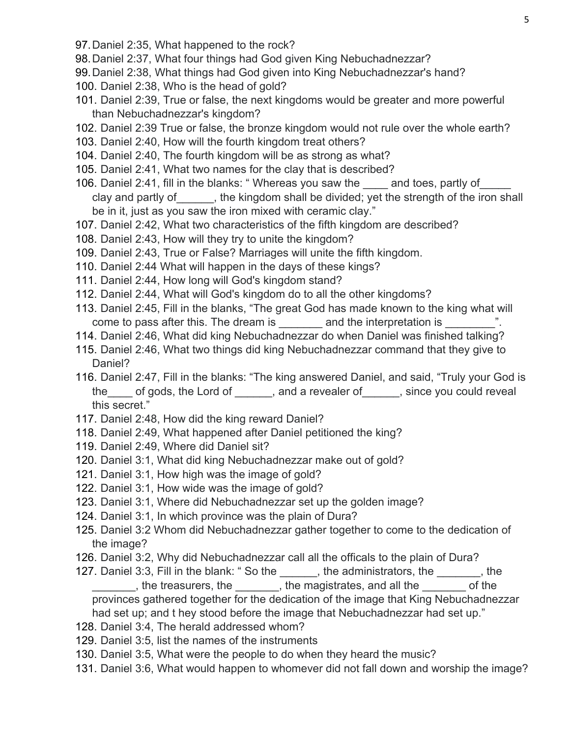- 97.Daniel 2:35, What happened to the rock?
- 98.Daniel 2:37, What four things had God given King Nebuchadnezzar?
- 99.Daniel 2:38, What things had God given into King Nebuchadnezzar's hand?
- 100. Daniel 2:38, Who is the head of gold?
- 101. Daniel 2:39, True or false, the next kingdoms would be greater and more powerful than Nebuchadnezzar's kingdom?
- 102. Daniel 2:39 True or false, the bronze kingdom would not rule over the whole earth?
- 103. Daniel 2:40, How will the fourth kingdom treat others?
- 104. Daniel 2:40, The fourth kingdom will be as strong as what?
- 105. Daniel 2:41, What two names for the clay that is described?
- 106. Daniel 2:41, fill in the blanks: "Whereas you saw the and toes, partly of clay and partly of extends the kingdom shall be divided; yet the strength of the iron shall be in it, just as you saw the iron mixed with ceramic clay."
- 107. Daniel 2:42, What two characteristics of the fifth kingdom are described?
- 108. Daniel 2:43, How will they try to unite the kingdom?
- 109. Daniel 2:43, True or False? Marriages will unite the fifth kingdom.
- 110. Daniel 2:44 What will happen in the days of these kings?
- 111. Daniel 2:44, How long will God's kingdom stand?
- 112. Daniel 2:44, What will God's kingdom do to all the other kingdoms?
- 113. Daniel 2:45, Fill in the blanks, "The great God has made known to the king what will come to pass after this. The dream is each and the interpretation is  $\ldots$  ".
- 114. Daniel 2:46, What did king Nebuchadnezzar do when Daniel was finished talking?
- 115. Daniel 2:46, What two things did king Nebuchadnezzar command that they give to Daniel?
- 116. Daniel 2:47, Fill in the blanks: "The king answered Daniel, and said, "Truly your God is the of gods, the Lord of each cand a revealer of each position since you could reveal this secret."
- 117. Daniel 2:48, How did the king reward Daniel?
- 118. Daniel 2:49, What happened after Daniel petitioned the king?
- 119. Daniel 2:49, Where did Daniel sit?
- 120. Daniel 3:1, What did king Nebuchadnezzar make out of gold?
- 121. Daniel 3:1, How high was the image of gold?
- 122. Daniel 3:1, How wide was the image of gold?
- 123. Daniel 3:1, Where did Nebuchadnezzar set up the golden image?
- 124. Daniel 3:1, In which province was the plain of Dura?
- 125. Daniel 3:2 Whom did Nebuchadnezzar gather together to come to the dedication of the image?
- 126. Daniel 3:2, Why did Nebuchadnezzar call all the officals to the plain of Dura?
- 127. Daniel 3:3, Fill in the blank: " So the equal the administrators, the same is the , the treasurers, the  $\overline{a}$ , the magistrates, and all the  $\overline{a}$  of the provinces gathered together for the dedication of the image that King Nebuchadnezzar had set up; and t hey stood before the image that Nebuchadnezzar had set up."
- 128. Daniel 3:4, The herald addressed whom?
- 129. Daniel 3:5, list the names of the instruments
- 130. Daniel 3:5, What were the people to do when they heard the music?
- 131. Daniel 3:6, What would happen to whomever did not fall down and worship the image?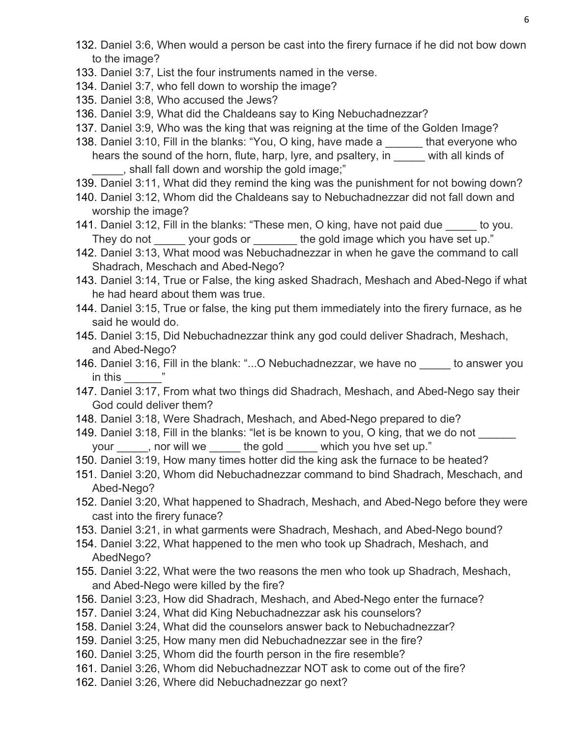- 132. Daniel 3:6, When would a person be cast into the firery furnace if he did not bow down to the image?
- 133. Daniel 3:7, List the four instruments named in the verse.
- 134. Daniel 3:7, who fell down to worship the image?
- 135. Daniel 3:8, Who accused the Jews?
- 136. Daniel 3:9, What did the Chaldeans say to King Nebuchadnezzar?
- 137. Daniel 3:9, Who was the king that was reigning at the time of the Golden Image?
- 138. Daniel 3:10, Fill in the blanks: "You, O king, have made a \_\_\_\_\_\_ that everyone who hears the sound of the horn, flute, harp, lyre, and psaltery, in with all kinds of \_\_\_\_\_, shall fall down and worship the gold image;"
- 139. Daniel 3:11, What did they remind the king was the punishment for not bowing down?
- 140. Daniel 3:12, Whom did the Chaldeans say to Nebuchadnezzar did not fall down and worship the image?
- 141. Daniel 3:12, Fill in the blanks: "These men, O king, have not paid due to you. They do not \_\_\_\_\_\_ your gods or \_\_\_\_\_\_\_ the gold image which you have set up."
- 142. Daniel 3:13, What mood was Nebuchadnezzar in when he gave the command to call Shadrach, Meschach and Abed-Nego?
- 143. Daniel 3:14, True or False, the king asked Shadrach, Meshach and Abed-Nego if what he had heard about them was true.
- 144. Daniel 3:15, True or false, the king put them immediately into the firery furnace, as he said he would do.
- 145. Daniel 3:15, Did Nebuchadnezzar think any god could deliver Shadrach, Meshach, and Abed-Nego?
- 146. Daniel 3:16, Fill in the blank: "...O Nebuchadnezzar, we have no to answer you in this  $\blacksquare$
- 147. Daniel 3:17, From what two things did Shadrach, Meshach, and Abed-Nego say their God could deliver them?
- 148. Daniel 3:18, Were Shadrach, Meshach, and Abed-Nego prepared to die?
- 149. Daniel 3:18, Fill in the blanks: "let is be known to you, O king, that we do not your , nor will we the gold which you hve set up."
- 150. Daniel 3:19, How many times hotter did the king ask the furnace to be heated?
- 151. Daniel 3:20, Whom did Nebuchadnezzar command to bind Shadrach, Meschach, and Abed-Nego?
- 152. Daniel 3:20, What happened to Shadrach, Meshach, and Abed-Nego before they were cast into the firery funace?
- 153. Daniel 3:21, in what garments were Shadrach, Meshach, and Abed-Nego bound?
- 154. Daniel 3:22, What happened to the men who took up Shadrach, Meshach, and AbedNego?
- 155. Daniel 3:22, What were the two reasons the men who took up Shadrach, Meshach, and Abed-Nego were killed by the fire?
- 156. Daniel 3:23, How did Shadrach, Meshach, and Abed-Nego enter the furnace?
- 157. Daniel 3:24, What did King Nebuchadnezzar ask his counselors?
- 158. Daniel 3:24, What did the counselors answer back to Nebuchadnezzar?
- 159. Daniel 3:25, How many men did Nebuchadnezzar see in the fire?
- 160. Daniel 3:25, Whom did the fourth person in the fire resemble?
- 161. Daniel 3:26, Whom did Nebuchadnezzar NOT ask to come out of the fire?
- 162. Daniel 3:26, Where did Nebuchadnezzar go next?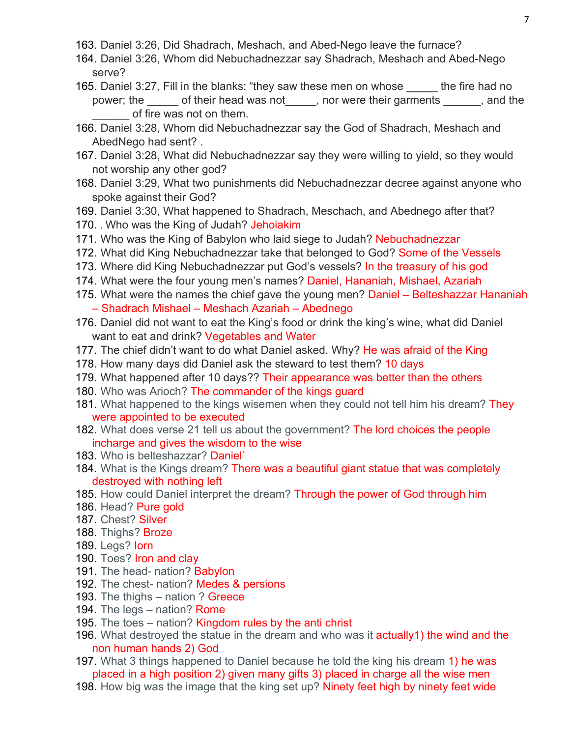- 163. Daniel 3:26, Did Shadrach, Meshach, and Abed-Nego leave the furnace?
- 164. Daniel 3:26, Whom did Nebuchadnezzar say Shadrach, Meshach and Abed-Nego serve?
- 165. Daniel 3:27, Fill in the blanks: "they saw these men on whose \_\_\_\_\_ the fire had no power; the diffusion of their head was not diffusion or were their garments and the of fire was not on them.
- 166. Daniel 3:28, Whom did Nebuchadnezzar say the God of Shadrach, Meshach and AbedNego had sent? .
- 167. Daniel 3:28, What did Nebuchadnezzar say they were willing to yield, so they would not worship any other god?
- 168. Daniel 3:29, What two punishments did Nebuchadnezzar decree against anyone who spoke against their God?
- 169. Daniel 3:30, What happened to Shadrach, Meschach, and Abednego after that?
- 170. . Who was the King of Judah? Jehoiakim
- 171. Who was the King of Babylon who laid siege to Judah? Nebuchadnezzar
- 172. What did King Nebuchadnezzar take that belonged to God? Some of the Vessels
- 173. Where did King Nebuchadnezzar put God's vessels? In the treasury of his god
- 174. What were the four young men's names? Daniel, Hananiah, Mishael, Azariah
- 175. What were the names the chief gave the young men? Daniel Belteshazzar Hananiah – Shadrach Mishael – Meshach Azariah – Abednego
- 176. Daniel did not want to eat the King's food or drink the king's wine, what did Daniel want to eat and drink? Vegetables and Water
- 177. The chief didn't want to do what Daniel asked. Why? He was afraid of the King
- 178. How many days did Daniel ask the steward to test them? 10 days
- 179. What happened after 10 days?? Their appearance was better than the others
- 180. Who was Arioch? The commander of the kings quard
- 181. What happened to the kings wisemen when they could not tell him his dream? They were appointed to be executed
- 182. What does verse 21 tell us about the government? The lord choices the people incharge and gives the wisdom to the wise
- 183. Who is belteshazzar? Daniel`
- 184. What is the Kings dream? There was a beautiful giant statue that was completely destroyed with nothing left
- 185. How could Daniel interpret the dream? Through the power of God through him
- 186. Head? Pure gold
- 187. Chest? Silver
- 188. Thighs? Broze
- 189. Legs? Iorn
- 190. Toes? Iron and clay
- 191. The head- nation? Babylon
- 192. The chest- nation? Medes & persions
- 193. The thighs nation ? Greece
- 194. The legs nation? Rome
- 195. The toes nation? Kingdom rules by the anti christ
- 196. What destroyed the statue in the dream and who was it actually 1) the wind and the non human hands 2) God
- 197. What 3 things happened to Daniel because he told the king his dream 1) he was placed in a high position 2) given many gifts 3) placed in charge all the wise men
- 198. How big was the image that the king set up? Ninety feet high by ninety feet wide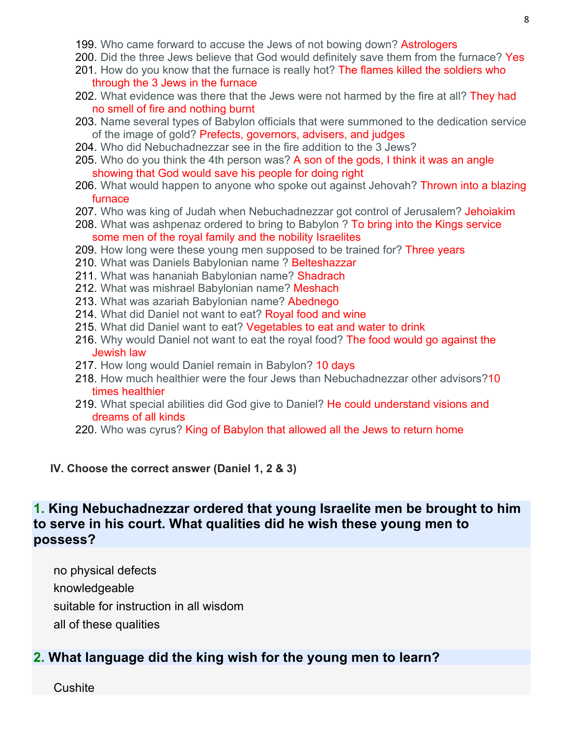- 199. Who came forward to accuse the Jews of not bowing down? Astrologers
- 200. Did the three Jews believe that God would definitely save them from the furnace? Yes
- 201. How do you know that the furnace is really hot? The flames killed the soldiers who through the 3 Jews in the furnace
- 202. What evidence was there that the Jews were not harmed by the fire at all? They had no smell of fire and nothing burnt
- 203. Name several types of Babylon officials that were summoned to the dedication service of the image of gold? Prefects, governors, advisers, and judges
- 204. Who did Nebuchadnezzar see in the fire addition to the 3 Jews?
- 205. Who do you think the 4th person was? A son of the gods, I think it was an angle showing that God would save his people for doing right
- 206. What would happen to anyone who spoke out against Jehovah? Thrown into a blazing furnace
- 207. Who was king of Judah when Nebuchadnezzar got control of Jerusalem? Jehoiakim
- 208. What was ashpenaz ordered to bring to Babylon ? To bring into the Kings service some men of the royal family and the nobility Israelites
- 209. How long were these young men supposed to be trained for? Three years
- 210. What was Daniels Babylonian name ? Belteshazzar
- 211. What was hananiah Babylonian name? Shadrach
- 212. What was mishrael Babylonian name? Meshach
- 213. What was azariah Babylonian name? Abednego
- 214. What did Daniel not want to eat? Royal food and wine
- 215. What did Daniel want to eat? Vegetables to eat and water to drink
- 216. Why would Daniel not want to eat the royal food? The food would go against the Jewish law
- 217. How long would Daniel remain in Babylon? 10 days
- 218. How much healthier were the four Jews than Nebuchadnezzar other advisors?10 times healthier
- 219. What special abilities did God give to Daniel? He could understand visions and dreams of all kinds
- 220. Who was cyrus? King of Babylon that allowed all the Jews to return home

### **IV. Choose the correct answer (Daniel 1, 2 & 3)**

# **1. King Nebuchadnezzar ordered that young Israelite men be brought to him to serve in his court. What qualities did he wish these young men to possess?**

no physical defects knowledgeable suitable for instruction in all wisdom all of these qualities

# **2. What language did the king wish for the young men to learn?**

**Cushite**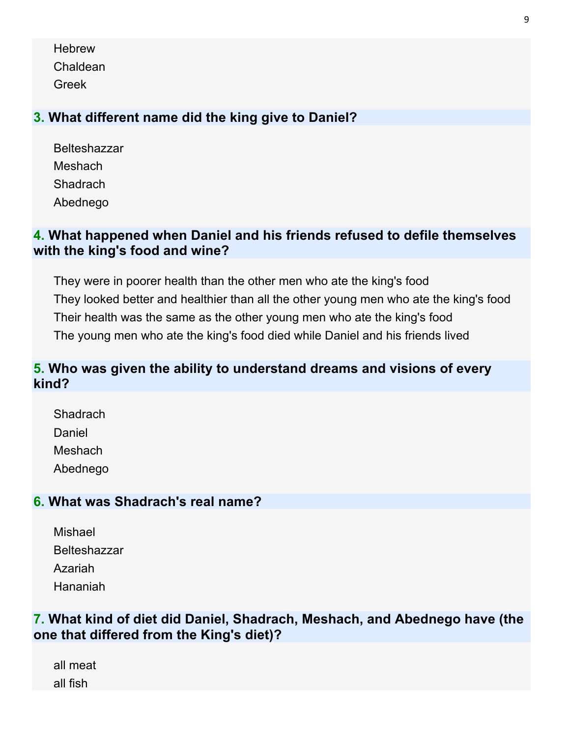**Hebrew** Chaldean Greek

# **3. What different name did the king give to Daniel?**

Belteshazzar **Meshach Shadrach** Abednego

# **4. What happened when Daniel and his friends refused to defile themselves with the king's food and wine?**

They were in poorer health than the other men who ate the king's food They looked better and healthier than all the other young men who ate the king's food Their health was the same as the other young men who ate the king's food The young men who ate the king's food died while Daniel and his friends lived

# **5. Who was given the ability to understand dreams and visions of every kind?**

**Shadrach** Daniel Meshach Abednego

## **6. What was Shadrach's real name?**

| Mishael             |
|---------------------|
| <b>Belteshazzar</b> |
| Azariah             |
| Hananiah            |

# **7. What kind of diet did Daniel, Shadrach, Meshach, and Abednego have (the one that differed from the King's diet)?**

all meat all fish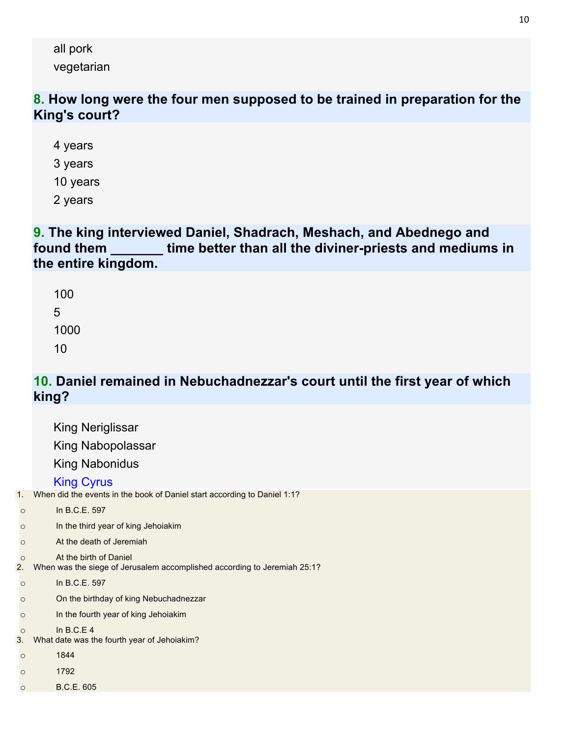all pork vegetarian

## **8. How long were the four men supposed to be trained in preparation for the King's court?**

4 years 3 years

10 years

2 years

## **9. The king interviewed Daniel, Shadrach, Meshach, and Abednego and found them \_\_\_\_\_\_\_ time better than all the diviner-priests and mediums in the entire kingdom.**

# **10. Daniel remained in Nebuchadnezzar's court until the first year of which king?**

|               | <b>King Neriglissar</b>                                                                            |
|---------------|----------------------------------------------------------------------------------------------------|
|               | King Nabopolassar                                                                                  |
|               | <b>King Nabonidus</b>                                                                              |
|               | <b>King Cyrus</b>                                                                                  |
| 1.            | When did the events in the book of Daniel start according to Daniel 1:1?                           |
| $\circ$       | In B.C.E. 597                                                                                      |
| $\circ$       | In the third year of king Jehoiakim                                                                |
| $\circ$       | At the death of Jeremiah                                                                           |
| $\circ$<br>2. | At the birth of Daniel<br>When was the siege of Jerusalem accomplished according to Jeremiah 25:1? |
| $\circ$       | In B.C.E. 597                                                                                      |
| $\circ$       | On the birthday of king Nebuchadnezzar                                                             |
| $\circ$       | In the fourth year of king Jehoiakim                                                               |
| $\circ$<br>3. | In $B.C.E.4$<br>What date was the fourth year of Jehoiakim?                                        |
| $\circ$       | 1844                                                                                               |
| $\circ$       | 1792                                                                                               |
| $\circ$       | B.C.E. 605                                                                                         |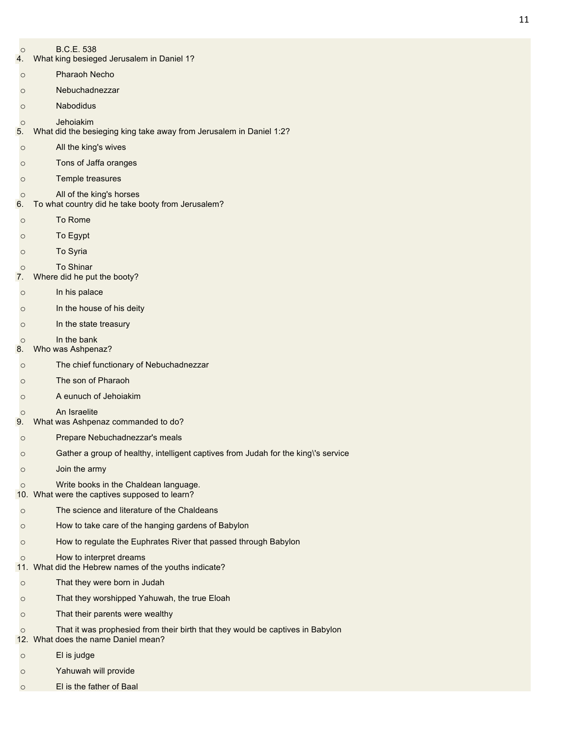- o B.C.E. 538
- 4. What king besieged Jerusalem in Daniel 1?
- o Pharaoh Necho
- o Nebuchadnezzar
- o Nabodidus

o Jehoiakim

- 5. What did the besieging king take away from Jerusalem in Daniel 1:2?
- o All the king's wives
- o Tons of Jaffa oranges
- o Temple treasures
- $\circ$  All of the king's horses<br>6. To what country did he take b
- To what country did he take booty from Jerusalem?
- o To Rome
- o To Egypt
- o To Syria
- o To Shinar
- 7. Where did he put the booty?
- o In his palace
- o In the house of his deity
- o In the state treasury
- o In the bank
- 8. Who was Ashpenaz?
- o The chief functionary of Nebuchadnezzar
- o The son of Pharaoh
- o A eunuch of Jehoiakim
- o An Israelite
- 9. What was Ashpenaz commanded to do?
- o Prepare Nebuchadnezzar's meals
- o Gather a group of healthy, intelligent captives from Judah for the king\'s service
- o Join the army
- o Write books in the Chaldean language.
- 10. What were the captives supposed to learn?
- o The science and literature of the Chaldeans
- o How to take care of the hanging gardens of Babylon
- o How to regulate the Euphrates River that passed through Babylon

#### o How to interpret dreams

- 11. What did the Hebrew names of the youths indicate?
- o That they were born in Judah
- o That they worshipped Yahuwah, the true Eloah
- o That their parents were wealthy
- o That it was prophesied from their birth that they would be captives in Babylon
- 12. What does the name Daniel mean?
- o El is judge
- o Yahuwah will provide
- o El is the father of Baal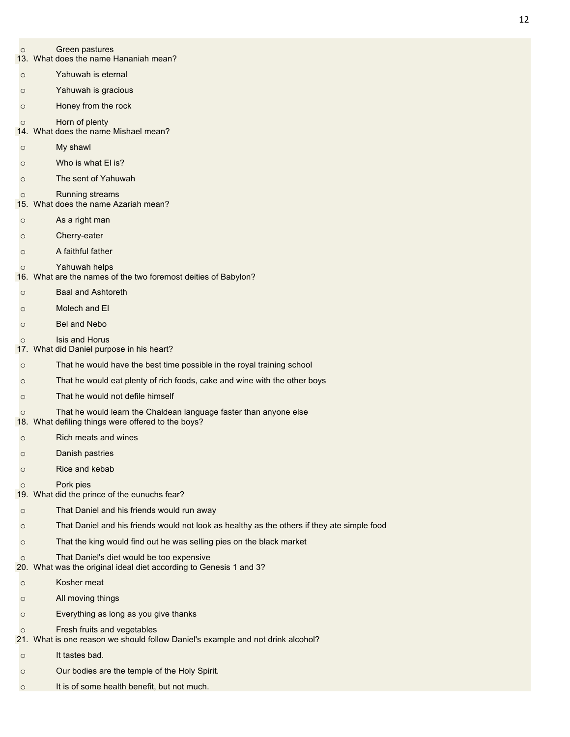- o Green pastures
- 13. What does the name Hananiah mean?
- o Yahuwah is eternal
- o Yahuwah is gracious
- o Honey from the rock
- o Horn of plenty
- 14. What does the name Mishael mean?
- o My shawl
- o Who is what El is?
- o The sent of Yahuwah
- o Running streams
- 15. What does the name Azariah mean?
- o As a right man
- o Cherry-eater
- o A faithful father
- o Yahuwah helps
- 16. What are the names of the two foremost deities of Babylon?
- o Baal and Ashtoreth
- o Molech and El
- o Bel and Nebo
- o Isis and Horus
- 17. What did Daniel purpose in his heart?
- o That he would have the best time possible in the royal training school
- o That he would eat plenty of rich foods, cake and wine with the other boys
- o That he would not defile himself
- o That he would learn the Chaldean language faster than anyone else
- 18. What defiling things were offered to the boys?
- o Rich meats and wines
- o Danish pastries
- o Rice and kebab
- o Pork pies
- 19. What did the prince of the eunuchs fear?
- o That Daniel and his friends would run away
- o That Daniel and his friends would not look as healthy as the others if they ate simple food
- o That the king would find out he was selling pies on the black market
- o That Daniel's diet would be too expensive
- 20. What was the original ideal diet according to Genesis 1 and 3?
- o Kosher meat
- o All moving things
- o Everything as long as you give thanks
- o Fresh fruits and vegetables
- 21. What is one reason we should follow Daniel's example and not drink alcohol?
- o It tastes bad.
- o Our bodies are the temple of the Holy Spirit.
- o It is of some health benefit, but not much.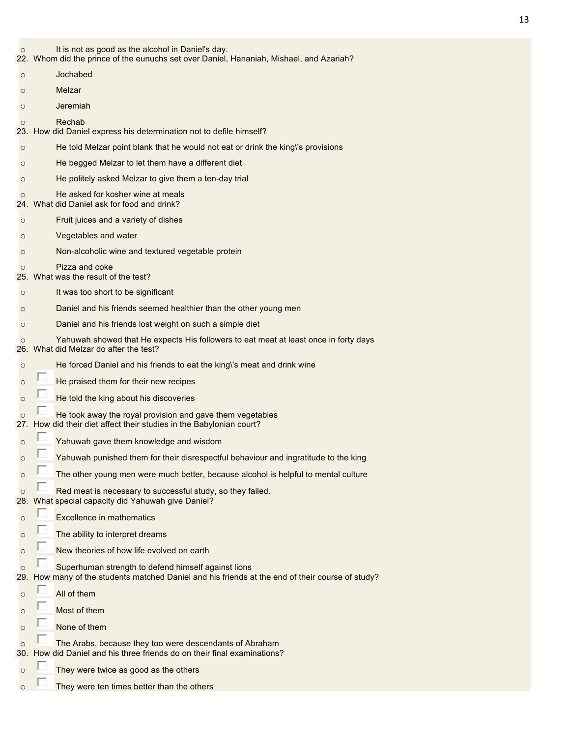- o It is not as good as the alcohol in Daniel's day.
- 22. Whom did the prince of the eunuchs set over Daniel, Hananiah, Mishael, and Azariah?
- o Jochabed
- o Melzar
- o Jeremiah

#### o Rechab

- 23. How did Daniel express his determination not to defile himself?
- o He told Melzar point blank that he would not eat or drink the king\'s provisions
- o He begged Melzar to let them have a different diet
- o He politely asked Melzar to give them a ten-day trial
- $\circ$  He asked for kosher wine at meals 24. What did Daniel ask for food and drink?
- What did Daniel ask for food and drink?
- o Fruit juices and a variety of dishes
- o Vegetables and water
- o Non-alcoholic wine and textured vegetable protein
- o Pizza and coke
- 25. What was the result of the test?
- o It was too short to be significant
- o Daniel and his friends seemed healthier than the other young men
- o Daniel and his friends lost weight on such a simple diet
- o Yahuwah showed that He expects His followers to eat meat at least once in forty days
- 26. What did Melzar do after the test?
- o He forced Daniel and his friends to eat the king\'s meat and drink wine
- $\overline{\circ}$  He praised them for their new recipes
- $\overline{\circ}$  He told the king about his discoveries
- $\overline{\circ}$  He took away the royal provision and gave them vegetables<br>27. How did their diet affect their studies in the Babylonian court?
- How did their diet affect their studies in the Babylonian court?
- o **Vahuwah gave them knowledge and wisdom**
- $\overline{\circ}$  Yahuwah punished them for their disrespectful behaviour and ingratitude to the king
- $\overline{\circ}$  The other young men were much better, because alcohol is helpful to mental culture
- **o Red meat is necessary to successful study, so they failed.**<br>28. What special capacity did Yahuwah give Daniel?
- What special capacity did Yahuwah give Daniel?
- o **E** Excellence in mathematics
- $\overline{\circ}$  The ability to interpret dreams
- $\circ$  New theories of how life evolved on earth
- $\overline{\circ}$  Superhuman strength to defend himself against lions<br>29. How many of the students matched Daniel and his friends a
- How many of the students matched Daniel and his friends at the end of their course of study?
- $\circ$   $\Box$  All of them
- $\circ$   $\Box$  Most of them
- $\overline{\circ}$  None of them
- o The Arabs, because they too were descendants of Abraham
- 30. How did Daniel and his three friends do on their final examinations?
- $\circ$   $\Box$  They were twice as good as the others
- $\circ$   $\Box$  They were ten times better than the others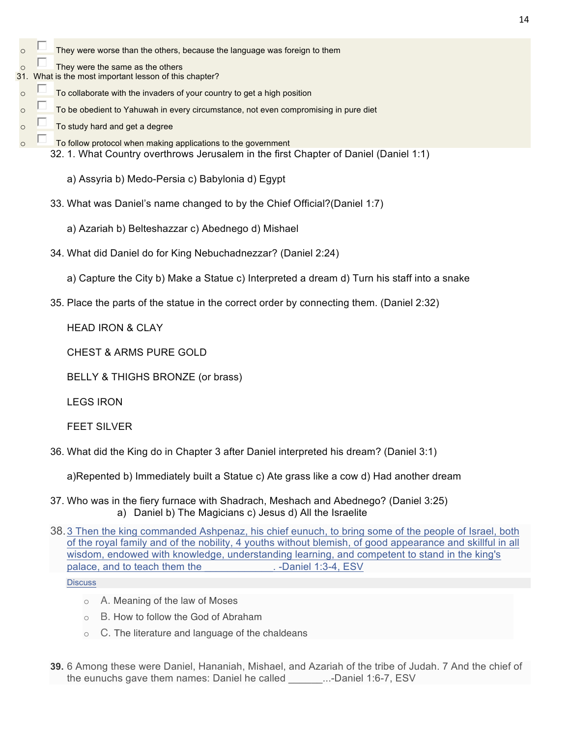- $\circ$   $\Box$  They were worse than the others, because the language was foreign to them
- $\overline{\circ}$  They were the same as the others
- 31. What is the most important lesson of this chapter?
- $\overline{\circ}$  To collaborate with the invaders of your country to get a high position
- $\overline{\circ}$  To be obedient to Yahuwah in every circumstance, not even compromising in pure diet
- $\overline{\circ}$   $\overline{\circ}$  To study hard and get a degree
- $\circ$   $\Box$  To follow protocol when making applications to the government
	- 32. 1. What Country overthrows Jerusalem in the first Chapter of Daniel (Daniel 1:1)
		- a) Assyria b) Medo-Persia c) Babylonia d) Egypt
	- 33. What was Daniel's name changed to by the Chief Official?(Daniel 1:7)
		- a) Azariah b) Belteshazzar c) Abednego d) Mishael
	- 34. What did Daniel do for King Nebuchadnezzar? (Daniel 2:24)
		- a) Capture the City b) Make a Statue c) Interpreted a dream d) Turn his staff into a snake
	- 35. Place the parts of the statue in the correct order by connecting them. (Daniel 2:32)

HEAD IRON & CLAY

CHEST & ARMS PURE GOLD

BELLY & THIGHS BRONZE (or brass)

LEGS IRON

FEET SILVER

36. What did the King do in Chapter 3 after Daniel interpreted his dream? (Daniel 3:1)

a)Repented b) Immediately built a Statue c) Ate grass like a cow d) Had another dream

- 37. Who was in the fiery furnace with Shadrach, Meshach and Abednego? (Daniel 3:25) a) Daniel b) The Magicians c) Jesus d) All the Israelite
- 38.3 Then the king commanded Ashpenaz, his chief eunuch, to bring some of the people of Israel, both of the royal family and of the nobility, 4 youths without blemish, of good appearance and skillful in all wisdom, endowed with knowledge, understanding learning, and competent to stand in the king's palace, and to teach them the metal of the set of the set of the set of the palace, and to teach them the set o

**Discuss** 

- o A. Meaning of the law of Moses
- o B. How to follow the God of Abraham
- $\circ$  C. The literature and language of the chaldeans
- **39.** 6 Among these were Daniel, Hananiah, Mishael, and Azariah of the tribe of Judah. 7 And the chief of the eunuchs gave them names: Daniel he called \_\_\_\_\_\_...-Daniel 1:6-7, ESV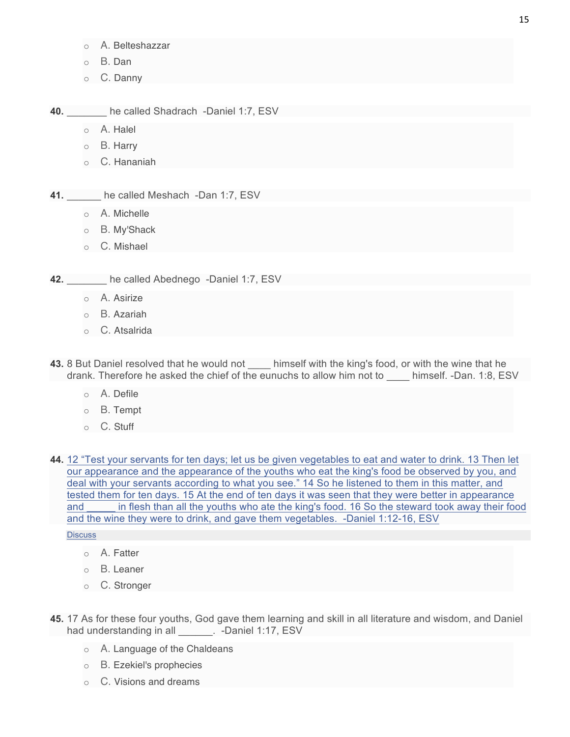- o A. Belteshazzar
- o B. Dan
- o C. Danny

**40.** \_\_\_\_\_\_\_ he called Shadrach -Daniel 1:7, ESV

- o A. Halel
- o B. Harry
- o C. Hananiah
- **41.** he called Meshach -Dan 1:7, ESV
	- o A. Michelle
	- o B. My'Shack
	- o C. Mishael

**42.** he called Abednego -Daniel 1:7, ESV

- o A. Asirize
- o B. Azariah
- o C. Atsalrida

**43.** 8 But Daniel resolved that he would not \_\_\_\_\_ himself with the king's food, or with the wine that he drank. Therefore he asked the chief of the eunuchs to allow him not to \_\_\_\_ himself. -Dan. 1:8, ESV

- o A. Defile
- o B. Tempt
- o C. Stuff

**44.** 12 "Test your servants for ten days; let us be given vegetables to eat and water to drink. 13 Then let our appearance and the appearance of the youths who eat the king's food be observed by you, and deal with your servants according to what you see." 14 So he listened to them in this matter, and tested them for ten days. 15 At the end of ten days it was seen that they were better in appearance and \_\_\_\_\_ in flesh than all the youths who ate the king's food. 16 So the steward took away their food and the wine they were to drink, and gave them vegetables. -Daniel 1:12-16, ESV

**Discuss** 

- o A. Fatter
- o B. Leaner
- o C. Stronger
- **45.** 17 As for these four youths, God gave them learning and skill in all literature and wisdom, and Daniel had understanding in all **Daniel 1:17, ESV** 
	- o A. Language of the Chaldeans
	- o B. Ezekiel's prophecies
	- o C. Visions and dreams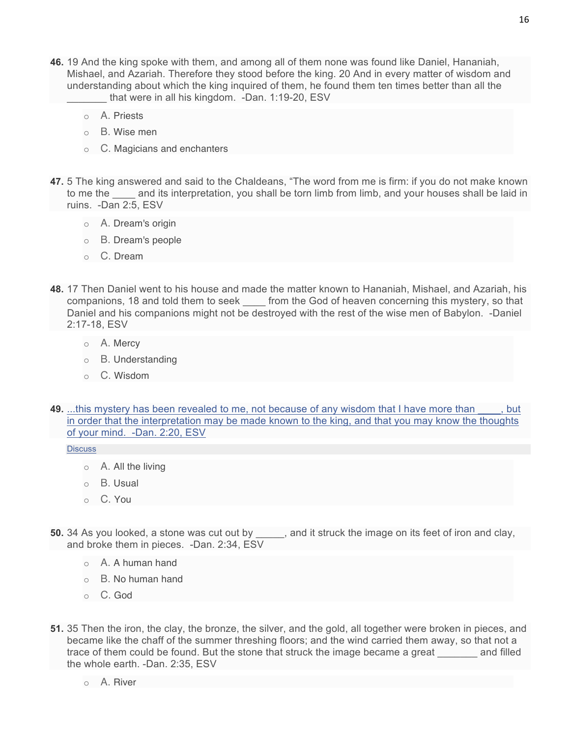- **46.** 19 And the king spoke with them, and among all of them none was found like Daniel, Hananiah, Mishael, and Azariah. Therefore they stood before the king. 20 And in every matter of wisdom and understanding about which the king inquired of them, he found them ten times better than all the that were in all his kingdom. -Dan. 1:19-20, ESV
	- o A. Priests
	- o B. Wise men
	- o C. Magicians and enchanters
- **47.** 5 The king answered and said to the Chaldeans, "The word from me is firm: if you do not make known to me the and its interpretation, you shall be torn limb from limb, and your houses shall be laid in ruins. -Dan 2:5, ESV
	- o A. Dream's origin
	- o B. Dream's people
	- o C. Dream
- **48.** 17 Then Daniel went to his house and made the matter known to Hananiah, Mishael, and Azariah, his companions, 18 and told them to seek \_\_\_\_ from the God of heaven concerning this mystery, so that Daniel and his companions might not be destroyed with the rest of the wise men of Babylon. -Daniel 2:17-18, ESV
	- o A. Mercy
	- o B. Understanding
	- o C. Wisdom
- **49.** ...this mystery has been revealed to me, not because of any wisdom that I have more than \_\_\_\_, but in order that the interpretation may be made known to the king, and that you may know the thoughts of your mind. -Dan. 2:20, ESV

**Discuss** 

- $\circ$  A. All the living
- o B. Usual
- o C. You
- **50.** 34 As you looked, a stone was cut out by  $\qquad \qquad$ , and it struck the image on its feet of iron and clay, and broke them in pieces. -Dan. 2:34, ESV
	- o A. A human hand
	- o B. No human hand
	- o C. God
- **51.** 35 Then the iron, the clay, the bronze, the silver, and the gold, all together were broken in pieces, and became like the chaff of the summer threshing floors; and the wind carried them away, so that not a trace of them could be found. But the stone that struck the image became a great and filled the whole earth. -Dan. 2:35, ESV
	- $\circ$  A. River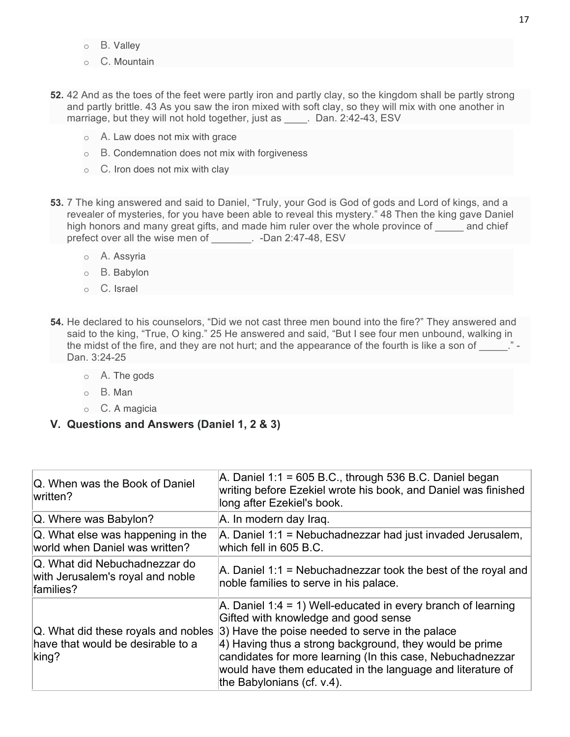- o B. Valley
- o C. Mountain
- **52.** 42 And as the toes of the feet were partly iron and partly clay, so the kingdom shall be partly strong and partly brittle. 43 As you saw the iron mixed with soft clay, so they will mix with one another in marriage, but they will not hold together, just as \_\_\_\_. Dan. 2:42-43, ESV
	- o A. Law does not mix with grace
	- o B. Condemnation does not mix with forgiveness
	- $\circ$  C. Iron does not mix with clay
- **53.** 7 The king answered and said to Daniel, "Truly, your God is God of gods and Lord of kings, and a revealer of mysteries, for you have been able to reveal this mystery." 48 Then the king gave Daniel high honors and many great gifts, and made him ruler over the whole province of and chief prefect over all the wise men of \_\_\_\_\_\_\_. -Dan 2:47-48, ESV
	- o A. Assyria
	- o B. Babylon
	- o C. Israel
- **54.** He declared to his counselors, "Did we not cast three men bound into the fire?" They answered and said to the king, "True, O king." 25 He answered and said, "But I see four men unbound, walking in the midst of the fire, and they are not hurt; and the appearance of the fourth is like a son of Dan. 3:24-25
	- o A. The gods
	- o B. Man
	- o C. A magicia
- **V. Questions and Answers (Daniel 1, 2 & 3)**

| Q. When was the Book of Daniel<br>written?                                     | A. Daniel 1:1 = 605 B.C., through 536 B.C. Daniel began<br>writing before Ezekiel wrote his book, and Daniel was finished<br>long after Ezekiel's book.                                                                                                                                                                                                                                                                             |
|--------------------------------------------------------------------------------|-------------------------------------------------------------------------------------------------------------------------------------------------------------------------------------------------------------------------------------------------------------------------------------------------------------------------------------------------------------------------------------------------------------------------------------|
| Q. Where was Babylon?                                                          | A. In modern day Iraq.                                                                                                                                                                                                                                                                                                                                                                                                              |
| Q. What else was happening in the<br>world when Daniel was written?            | A. Daniel 1:1 = Nebuchadnezzar had just invaded Jerusalem,<br>which fell in 605 B.C.                                                                                                                                                                                                                                                                                                                                                |
| Q. What did Nebuchadnezzar do<br>with Jerusalem's royal and noble<br>families? | A. Daniel 1:1 = Nebuchadnezzar took the best of the royal and<br>noble families to serve in his palace.                                                                                                                                                                                                                                                                                                                             |
| have that would be desirable to a<br>king?                                     | A. Daniel 1:4 = 1) Well-educated in every branch of learning<br>Gifted with knowledge and good sense<br>$\vert$ Q. What did these royals and nobles $\vert$ 3) Have the poise needed to serve in the palace<br>4) Having thus a strong background, they would be prime<br>candidates for more learning (In this case, Nebuchadnezzar<br>would have them educated in the language and literature of<br>the Babylonians (cf. $v.4$ ). |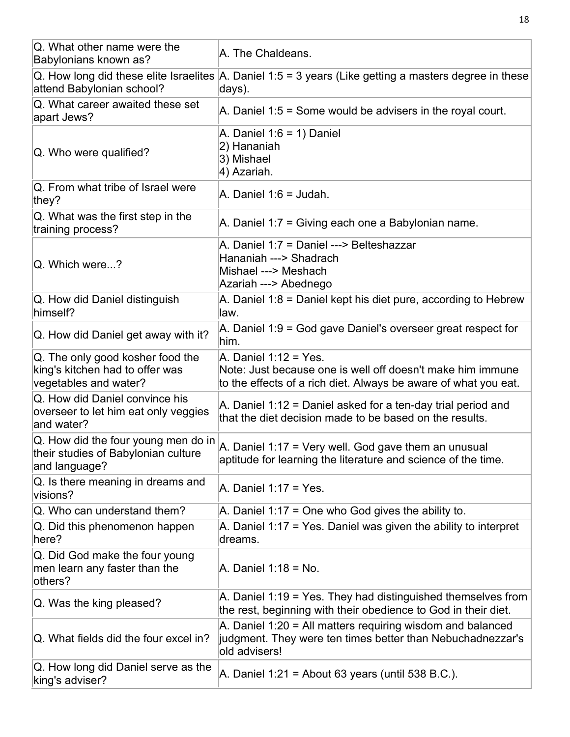| Q. What other name were the<br>Babylonians known as?                                         | A. The Chaldeans.                                                                                                                                      |
|----------------------------------------------------------------------------------------------|--------------------------------------------------------------------------------------------------------------------------------------------------------|
| attend Babylonian school?                                                                    | $\alpha$ . How long did these elite Israelites A. Daniel 1:5 = 3 years (Like getting a masters degree in these<br>days).                               |
| Q. What career awaited these set<br>apart Jews?                                              | A. Daniel $1.5$ = Some would be advisers in the royal court.                                                                                           |
| Q. Who were qualified?                                                                       | A. Daniel $1:6 = 1$ ) Daniel<br>2) Hananiah<br>3) Mishael<br>4) Azariah.                                                                               |
| Q. From what tribe of Israel were<br>they?                                                   | A. Daniel $1:6 =$ Judah.                                                                                                                               |
| Q. What was the first step in the<br>training process?                                       | A. Daniel 1:7 = Giving each one a Babylonian name.                                                                                                     |
| Q. Which were?                                                                               | A. Daniel 1:7 = Daniel ---> Belteshazzar<br>Hananiah ---> Shadrach<br>Mishael ---> Meshach<br>Azariah ---> Abednego                                    |
| Q. How did Daniel distinguish<br>himself?                                                    | A. Daniel 1:8 = Daniel kept his diet pure, according to Hebrew<br>law.                                                                                 |
| Q. How did Daniel get away with it?                                                          | A. Daniel 1:9 = God gave Daniel's overseer great respect for<br>him.                                                                                   |
| Q. The only good kosher food the<br>king's kitchen had to offer was<br>vegetables and water? | A. Daniel 1:12 = Yes.<br>Note: Just because one is well off doesn't make him immune<br>to the effects of a rich diet. Always be aware of what you eat. |
| Q. How did Daniel convince his<br>overseer to let him eat only veggies<br>and water?         | A. Daniel 1:12 = Daniel asked for a ten-day trial period and<br>that the diet decision made to be based on the results.                                |
| Q. How did the four young men do in<br>their studies of Babylonian culture<br>and language?  | A. Daniel 1:17 = Very well. God gave them an unusual<br>aptitude for learning the literature and science of the time.                                  |
| Q. Is there meaning in dreams and<br>visions?                                                | $A.$ Daniel 1:17 = Yes.                                                                                                                                |
| Q. Who can understand them?                                                                  | A. Daniel 1:17 = One who God gives the ability to.                                                                                                     |
| Q. Did this phenomenon happen<br>here?                                                       | A. Daniel 1:17 = Yes. Daniel was given the ability to interpret<br>dreams.                                                                             |
| Q. Did God make the four young<br>men learn any faster than the<br>others?                   | A. Daniel 1:18 = No.                                                                                                                                   |
| Q. Was the king pleased?                                                                     | A. Daniel 1:19 = Yes. They had distinguished themselves from<br>the rest, beginning with their obedience to God in their diet.                         |
| Q. What fields did the four excel in?                                                        | A. Daniel 1:20 = All matters requiring wisdom and balanced<br>judgment. They were ten times better than Nebuchadnezzar's<br>old advisers!              |
| Q. How long did Daniel serve as the<br>king's adviser?                                       | A. Daniel $1:21$ = About 63 years (until 538 B.C.).                                                                                                    |

18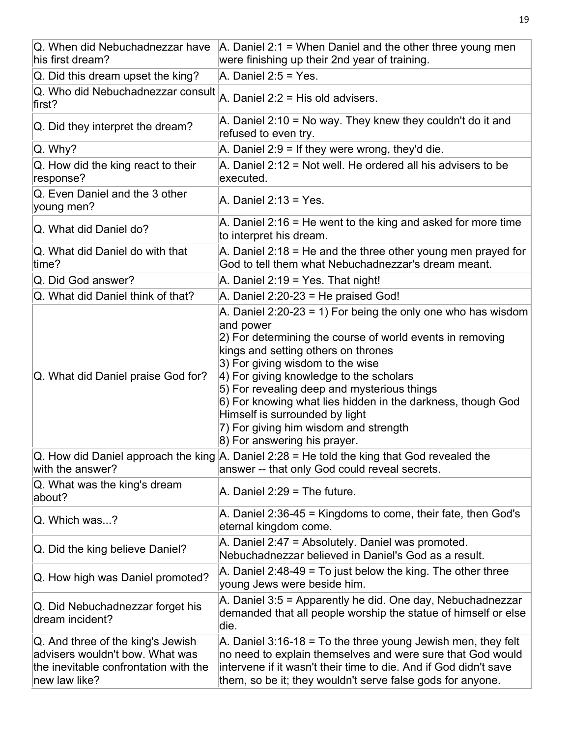| Q. When did Nebuchadnezzar have<br>his first dream?                                                                            | A. Daniel $2:1$ = When Daniel and the other three young men<br>were finishing up their 2nd year of training.                                                                                                                                                                                                                                                                                                                                                                             |
|--------------------------------------------------------------------------------------------------------------------------------|------------------------------------------------------------------------------------------------------------------------------------------------------------------------------------------------------------------------------------------------------------------------------------------------------------------------------------------------------------------------------------------------------------------------------------------------------------------------------------------|
| Q. Did this dream upset the king?                                                                                              | A. Daniel $2:5 = Yes$ .                                                                                                                                                                                                                                                                                                                                                                                                                                                                  |
| Q. Who did Nebuchadnezzar consult<br>first?                                                                                    | A. Daniel 2:2 = His old advisers.                                                                                                                                                                                                                                                                                                                                                                                                                                                        |
| Q. Did they interpret the dream?                                                                                               | A. Daniel 2:10 = No way. They knew they couldn't do it and<br>refused to even try.                                                                                                                                                                                                                                                                                                                                                                                                       |
| Q. Why?                                                                                                                        | A. Daniel $2:9 =$ If they were wrong, they'd die.                                                                                                                                                                                                                                                                                                                                                                                                                                        |
| Q. How did the king react to their<br>response?                                                                                | A. Daniel 2:12 = Not well. He ordered all his advisers to be<br>executed.                                                                                                                                                                                                                                                                                                                                                                                                                |
| Q. Even Daniel and the 3 other<br>young men?                                                                                   | A. Daniel $2:13 = Yes$ .                                                                                                                                                                                                                                                                                                                                                                                                                                                                 |
| Q. What did Daniel do?                                                                                                         | A. Daniel 2:16 = He went to the king and asked for more time<br>to interpret his dream.                                                                                                                                                                                                                                                                                                                                                                                                  |
| Q. What did Daniel do with that<br>time?                                                                                       | A. Daniel $2:18$ = He and the three other young men prayed for<br>God to tell them what Nebuchadnezzar's dream meant.                                                                                                                                                                                                                                                                                                                                                                    |
| Q. Did God answer?                                                                                                             | A. Daniel 2:19 = Yes. That night!                                                                                                                                                                                                                                                                                                                                                                                                                                                        |
| Q. What did Daniel think of that?                                                                                              | A. Daniel $2:20-23$ = He praised God!                                                                                                                                                                                                                                                                                                                                                                                                                                                    |
| Q. What did Daniel praise God for?                                                                                             | A. Daniel $2:20-23 = 1$ ) For being the only one who has wisdom<br>and power<br>2) For determining the course of world events in removing<br>kings and setting others on thrones<br>3) For giving wisdom to the wise<br>4) For giving knowledge to the scholars<br>5) For revealing deep and mysterious things<br>6) For knowing what lies hidden in the darkness, though God<br>Himself is surrounded by light<br>7) For giving him wisdom and strength<br>8) For answering his prayer. |
| with the answer?                                                                                                               | Q. How did Daniel approach the king $\vert$ A. Daniel 2:28 = He told the king that God revealed the<br>answer -- that only God could reveal secrets.                                                                                                                                                                                                                                                                                                                                     |
| Q. What was the king's dream<br>about?                                                                                         | A. Daniel $2:29$ = The future.                                                                                                                                                                                                                                                                                                                                                                                                                                                           |
| Q. Which was?                                                                                                                  | A. Daniel 2:36-45 = Kingdoms to come, their fate, then God's<br>eternal kingdom come.                                                                                                                                                                                                                                                                                                                                                                                                    |
| Q. Did the king believe Daniel?                                                                                                | A. Daniel 2:47 = Absolutely. Daniel was promoted.<br>Nebuchadnezzar believed in Daniel's God as a result.                                                                                                                                                                                                                                                                                                                                                                                |
| Q. How high was Daniel promoted?                                                                                               | A. Daniel 2:48-49 = To just below the king. The other three<br>young Jews were beside him.                                                                                                                                                                                                                                                                                                                                                                                               |
| Q. Did Nebuchadnezzar forget his<br>dream incident?                                                                            | A. Daniel 3:5 = Apparently he did. One day, Nebuchadnezzar<br>demanded that all people worship the statue of himself or else<br>die.                                                                                                                                                                                                                                                                                                                                                     |
| Q. And three of the king's Jewish<br>advisers wouldn't bow. What was<br>the inevitable confrontation with the<br>new law like? | A. Daniel $3:16-18$ = To the three young Jewish men, they felt<br>no need to explain themselves and were sure that God would<br>intervene if it wasn't their time to die. And if God didn't save<br>them, so be it; they wouldn't serve false gods for anyone.                                                                                                                                                                                                                           |

19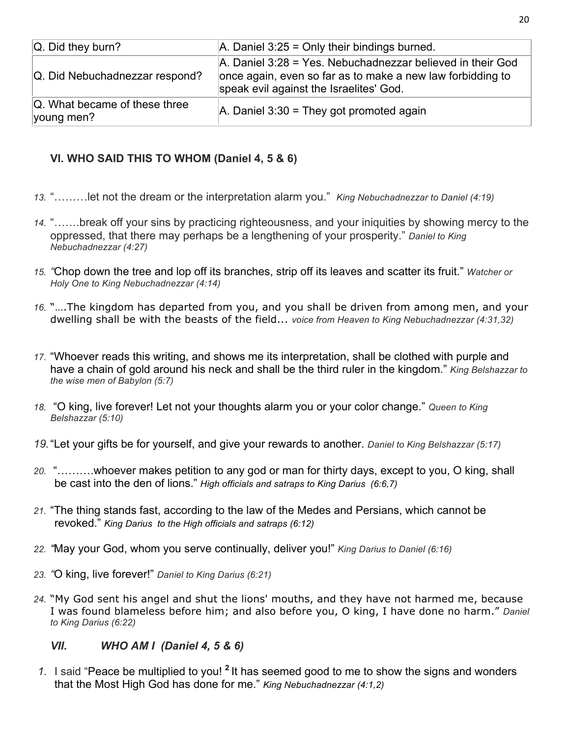| $ Q.$ Did they burn?                            | $ A.$ Daniel 3:25 = Only their bindings burned.                                                                                                                     |
|-------------------------------------------------|---------------------------------------------------------------------------------------------------------------------------------------------------------------------|
| Q. Did Nebuchadnezzar respond?                  | A. Daniel 3:28 = Yes. Nebuchadnezzar believed in their God<br>once again, even so far as to make a new law forbidding to<br>speak evil against the Israelites' God. |
| $ Q$ . What became of these three<br>young men? | $A.$ Daniel 3:30 = They got promoted again                                                                                                                          |

### **VI. WHO SAID THIS TO WHOM (Daniel 4, 5 & 6)**

- *13.* "………let not the dream or the interpretation alarm you." *King Nebuchadnezzar to Daniel (4:19)*
- *14.* "…….break off your sins by practicing righteousness, and your iniquities by showing mercy to the oppressed, that there may perhaps be a lengthening of your prosperity." *Daniel to King Nebuchadnezzar (4:27)*
- *15. "*Chop down the tree and lop off its branches, strip off its leaves and scatter its fruit." *Watcher or Holy One to King Nebuchadnezzar (4:14)*
- *16.* "….The kingdom has departed from you, and you shall be driven from among men, and your dwelling shall be with the beasts of the field... *voice from Heaven to King Nebuchadnezzar (4:31,32)*
- *17.* "Whoever reads this writing, and shows me its interpretation, shall be clothed with purple and have a chain of gold around his neck and shall be the third ruler in the kingdom." *King Belshazzar to the wise men of Babylon (5:7)*
- *18.* "O king, live forever! Let not your thoughts alarm you or your color change." *Queen to King Belshazzar (5:10)*
- *19.*"Let your gifts be for yourself, and give your rewards to another. *Daniel to King Belshazzar (5:17)*
- *20.* "……….whoever makes petition to any god or man for thirty days, except to you, O king, shall be cast into the den of lions." *High officials and satraps to King Darius (6:6,7)*
- *21.* "The thing stands fast, according to the law of the Medes and Persians, which cannot be revoked." *King Darius to the High officials and satraps (6:12)*
- *22. "*May your God, whom you serve continually, deliver you!" *King Darius to Daniel (6:16)*
- *23. "*O king, live forever!" *Daniel to King Darius (6:21)*
- *24.* "My God sent his angel and shut the lions' mouths, and they have not harmed me, because I was found blameless before him; and also before you, O king, I have done no harm." *Daniel to King Darius (6:22)*

### *VII. WHO AM I (Daniel 4, 5 & 6)*

*1.* I said "Peace be multiplied to you! **<sup>2</sup>** It has seemed good to me to show the signs and wonders that the Most High God has done for me." *King Nebuchadnezzar (4:1,2)*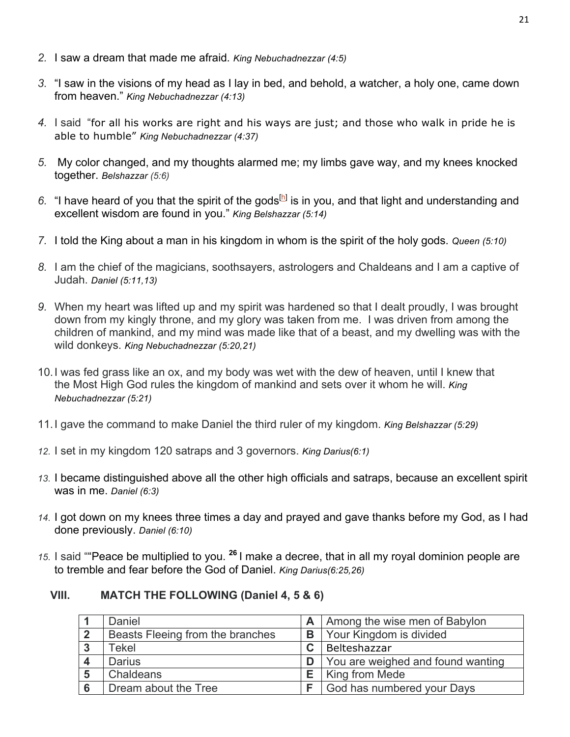- *2.* I saw a dream that made me afraid*. King Nebuchadnezzar (4:5)*
- *3.* "I saw in the visions of my head as I lay in bed, and behold, a watcher, a holy one, came down from heaven." *King Nebuchadnezzar (4:13)*
- *4.* I said "for all his works are right and his ways are just; and those who walk in pride he is able to humble" *King Nebuchadnezzar (4:37)*
- *5.* My color changed, and my thoughts alarmed me; my limbs gave way, and my knees knocked together. *Belshazzar (5:6)*
- 6. "I have heard of you that the spirit of the gods<sup>[h]</sup> is in you, and that light and understanding and excellent wisdom are found in you." *King Belshazzar (5:14)*
- *7.* I told the King about a man in his kingdom in whom is the spirit of the holy gods. *Queen (5:10)*
- *8.* I am the chief of the magicians, soothsayers, astrologers and Chaldeans and I am a captive of Judah. *Daniel (5:11,13)*
- *9.* When my heart was lifted up and my spirit was hardened so that I dealt proudly, I was brought down from my kingly throne, and my glory was taken from me. I was driven from among the children of mankind, and my mind was made like that of a beast, and my dwelling was with the wild donkeys. *King Nebuchadnezzar (5:20,21)*
- 10.I was fed grass like an ox, and my body was wet with the dew of heaven, until I knew that the Most High God rules the kingdom of mankind and sets over it whom he will. *King Nebuchadnezzar (5:21)*
- 11.I gave the command to make Daniel the third ruler of my kingdom. *King Belshazzar (5:29)*
- *12.* I set in my kingdom 120 satraps and 3 governors. *King Darius(6:1)*
- *13.* I became distinguished above all the other high officials and satraps, because an excellent spirit was in me. *Daniel (6:3)*
- *14.* I got down on my knees three times a day and prayed and gave thanks before my God, as I had done previously. *Daniel (6:10)*
- *15.* I said ""Peace be multiplied to you. **<sup>26</sup>** I make a decree, that in all my royal dominion people are to tremble and fear before the God of Daniel. *King Darius(6:25,26)*

### **VIII. MATCH THE FOLLOWING (Daniel 4, 5 & 6)**

| Daniel                           |   | A   Among the wise men of Babylon |
|----------------------------------|---|-----------------------------------|
| Beasts Fleeing from the branches | B | Your Kingdom is divided           |
| Tekel                            |   | Belteshazzar                      |
| Darius                           |   | You are weighed and found wanting |
| Chaldeans                        | Е | King from Mede                    |
| Dream about the Tree             |   | God has numbered your Days        |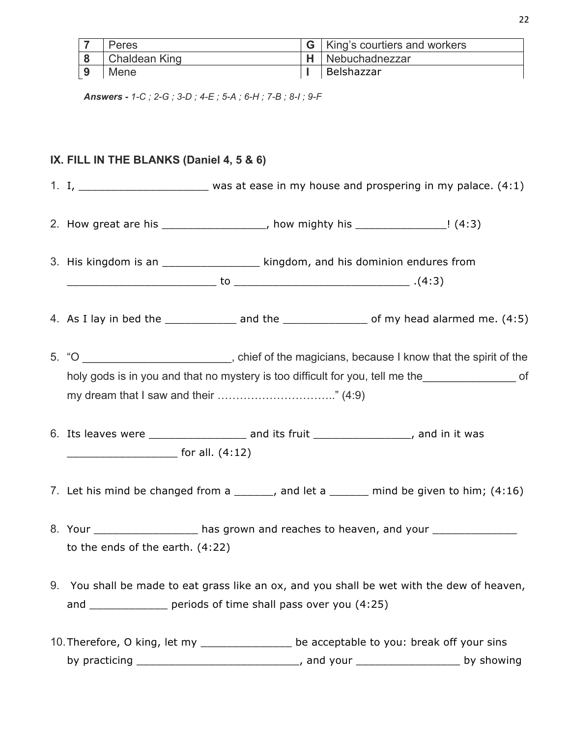| Peres                | King's courtiers and workers |
|----------------------|------------------------------|
| <b>Chaldean King</b> | Nebuchadnezzar               |
| Mene                 | Belshazzar                   |

*Answers - 1-C ; 2-G ; 3-D ; 4-E ; 5-A ; 6-H ; 7-B ; 8-I ; 9-F*

### **IX. FILL IN THE BLANKS (Daniel 4, 5 & 6)**

1. I, \_\_\_\_\_\_\_\_\_\_\_\_\_\_\_\_\_\_\_ was at ease in my house and prospering in my palace. (4:1)

2. How great are his  $\begin{array}{ccc} 2. & \text{How great area} \end{array}$  how mighty his  $\begin{array}{ccc} 2. & \text{How great area} \end{array}$ 

3. His kingdom is an  $\qquad \qquad$  kingdom, and his dominion endures from \_\_\_\_\_\_\_\_\_\_\_\_\_\_\_\_\_\_\_\_\_\_\_ to \_\_\_\_\_\_\_\_\_\_\_\_\_\_\_\_\_\_\_\_\_\_\_\_\_\_\_ .(4:3)

4. As I lay in bed the  $\frac{1}{2}$  and the  $\frac{1}{2}$  and the  $\frac{1}{2}$  of my head alarmed me. (4:5)

- 5. "O **Example 20**  $\rightarrow$  O  $\rightarrow$  O  $\rightarrow$  O  $\rightarrow$  O  $\rightarrow$  O  $\rightarrow$  O  $\rightarrow$  O  $\rightarrow$  O  $\rightarrow$  O  $\rightarrow$  O  $\rightarrow$  O  $\rightarrow$  O  $\rightarrow$  O  $\rightarrow$  O  $\rightarrow$  O  $\rightarrow$  O  $\rightarrow$  O  $\rightarrow$  O  $\rightarrow$  O  $\rightarrow$  O  $\rightarrow$  O  $\rightarrow$  O  $\rightarrow$  O  $\rightarrow$  O  $\rightarrow$  O  $\rightarrow$  O  $\rightarrow$  O  $\rightarrow$  O  $\rightarrow$  O holy gods is in you and that no mystery is too difficult for you, tell me the my dream that I saw and their ………………………….." (4:9)
- 6. Its leaves were \_\_\_\_\_\_\_\_\_\_\_\_\_\_\_ and its fruit \_\_\_\_\_\_\_\_\_\_\_\_\_\_\_, and in it was \_\_\_\_\_\_\_\_\_\_\_\_\_\_\_\_\_ for all. (4:12)
- 7. Let his mind be changed from a  $\qquad \qquad$ , and let a  $\qquad \qquad$  mind be given to him; (4:16)
- 8. Your \_\_\_\_\_\_\_\_\_\_\_\_\_\_\_\_\_\_\_ has grown and reaches to heaven, and your \_\_\_\_\_\_\_\_\_\_ to the ends of the earth. (4:22)
- 9. You shall be made to eat grass like an ox, and you shall be wet with the dew of heaven, and **business** periods of time shall pass over you (4:25)
- 10. Therefore, O king, let my \_\_\_\_\_\_\_\_\_\_\_\_\_\_\_\_ be acceptable to you: break off your sins by practicing \_\_\_\_\_\_\_\_\_\_\_\_\_\_\_\_\_\_\_\_\_\_\_\_\_\_\_\_\_, and your \_\_\_\_\_\_\_\_\_\_\_\_\_\_\_\_\_\_\_\_\_\_\_\_\_ by showing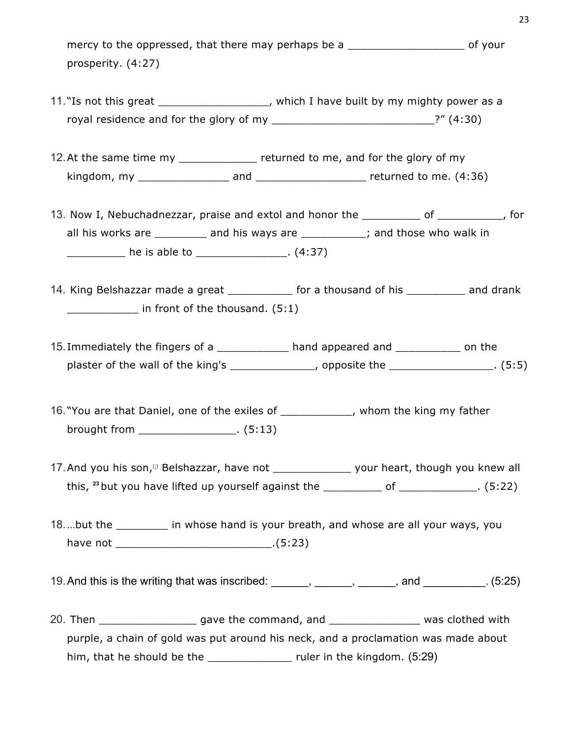mercy to the oppressed, that there may perhaps be a \_\_\_\_\_\_\_\_\_\_\_\_\_\_\_\_\_\_\_\_\_\_\_\_\_\_\_\_ of your prosperity. (4:27)

- 11. "Is not this great \_\_\_\_\_\_\_\_\_\_\_\_\_\_\_\_\_, which I have built by my mighty power as a royal residence and for the glory of my  $\frac{1}{2}$  \_\_\_\_\_\_\_\_\_\_\_\_\_\_\_\_\_\_\_\_\_\_\_\_\_\_\_\_\_\_\_?" (4:30)
- 12. At the same time my \_\_\_\_\_\_\_\_\_\_\_\_\_\_ returned to me, and for the glory of my kingdom, my \_\_\_\_\_\_\_\_\_\_\_\_\_\_ and \_\_\_\_\_\_\_\_\_\_\_\_\_\_\_\_\_ returned to me. (4:36)
- 13. Now I, Nebuchadnezzar, praise and extol and honor the \_\_\_\_\_\_\_\_\_\_ of \_\_\_\_\_\_\_\_\_\_, for all his works are \_\_\_\_\_\_\_\_ and his ways are \_\_\_\_\_\_\_\_\_; and those who walk in  $he$  is able to  $(4:37)$
- 14. King Belshazzar made a great \_\_\_\_\_\_\_\_\_\_ for a thousand of his \_\_\_\_\_\_\_\_\_ and drank in front of the thousand. (5:1)
- 15. Immediately the fingers of a \_\_\_\_\_\_\_\_\_\_\_\_ hand appeared and \_\_\_\_\_\_\_\_\_\_\_\_ on the plaster of the wall of the king's \_\_\_\_\_\_\_\_\_\_\_\_\_\_\_, opposite the \_\_\_\_\_\_\_\_\_\_\_\_\_\_\_\_\_. (5:5)
- 16. "You are that Daniel, one of the exiles of \_\_\_\_\_\_\_\_\_\_\_, whom the king my father brought from \_\_\_\_\_\_\_\_\_\_\_\_\_\_\_. (5:13)
- 17. And you his son,<sup>[1]</sup> Belshazzar, have not \_\_\_\_\_\_\_\_\_\_\_\_\_\_\_\_ your heart, though you knew all this,  $^{23}$  but you have lifted up yourself against the  $\frac{1}{2}$  of  $\frac{1}{2}$  of  $\frac{1}{2}$  (5:22)
- 18...but the Table on the section of the same in whose hand is your breath, and whose are all your ways, you have not \_\_\_\_\_\_\_\_\_\_\_\_\_\_\_\_\_\_\_\_\_\_\_\_.(5:23)
- 19. And this is the writing that was inscribed: \_\_\_\_\_\_, \_\_\_\_\_\_, \_\_\_\_\_\_, and \_\_\_\_\_\_\_\_\_. (5:25)
- 20. Then \_\_\_\_\_\_\_\_\_\_\_\_\_\_\_\_\_\_\_\_\_ gave the command, and \_\_\_\_\_\_\_\_\_\_\_\_\_\_\_\_\_\_\_\_\_ was clothed with purple, a chain of gold was put around his neck, and a proclamation was made about him, that he should be the \_\_\_\_\_\_\_\_\_\_\_\_\_\_\_\_ ruler in the kingdom. (5:29)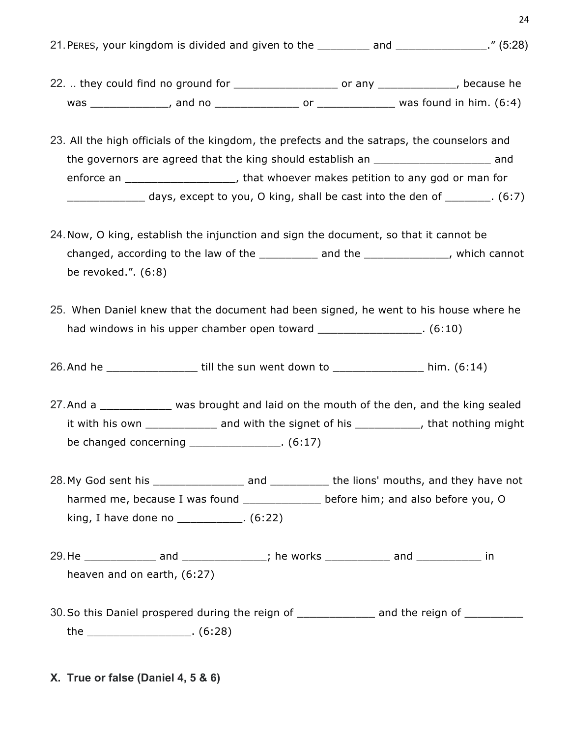21. PERES, your kingdom is divided and given to the \_\_\_\_\_\_\_\_ and \_\_\_\_\_\_\_\_\_\_\_\_\_." (5:28)

24

- 22. .. they could find no ground for \_\_\_\_\_\_\_\_\_\_\_\_\_\_\_\_\_\_\_\_\_\_ or any \_\_\_\_\_\_\_\_\_\_\_\_\_, because he was the contract was found in him. (6:4) was found in him. (6:4)
- 23. All the high officials of the kingdom, the prefects and the satraps, the counselors and the governors are agreed that the king should establish an \_\_\_\_\_\_\_\_\_\_\_\_\_\_\_\_\_\_ and enforce an \_\_\_\_\_\_\_\_\_\_\_\_\_\_\_\_\_, that whoever makes petition to any god or man for  $\frac{1}{2}$  days, except to you, O king, shall be cast into the den of  $\frac{1}{2}$  (6:7)
- 24.Now, O king, establish the injunction and sign the document, so that it cannot be changed, according to the law of the **source and the set of the set of the set of the set of the set of the set o** be revoked.". (6:8)
- 25. When Daniel knew that the document had been signed, he went to his house where he had windows in his upper chamber open toward [6:10]
- 26.And he \_\_\_\_\_\_\_\_\_\_\_\_\_\_ till the sun went down to \_\_\_\_\_\_\_\_\_\_\_\_\_\_ him. (6:14)
- 27. And a \_\_\_\_\_\_\_\_\_\_\_\_\_ was brought and laid on the mouth of the den, and the king sealed it with his own \_\_\_\_\_\_\_\_\_\_\_\_\_\_ and with the signet of his \_\_\_\_\_\_\_\_\_\_\_, that nothing might be changed concerning \_\_\_\_\_\_\_\_\_\_\_\_\_\_. (6:17)
- 28. My God sent his example and the lions' mouths, and they have not harmed me, because I was found \_\_\_\_\_\_\_\_\_\_\_\_\_ before him; and also before you, O king, I have done no  $\qquad \qquad$  . (6:22)
- 29.He \_\_\_\_\_\_\_\_\_\_\_\_\_ and \_\_\_\_\_\_\_\_\_\_\_\_\_\_; he works \_\_\_\_\_\_\_\_\_\_\_\_ and \_\_\_\_\_\_\_\_\_\_\_\_\_ in heaven and on earth, (6:27)
- 30. So this Daniel prospered during the reign of \_\_\_\_\_\_\_\_\_\_\_\_\_\_\_ and the reign of \_\_\_\_\_\_\_\_\_\_ the \_\_\_\_\_\_\_\_\_\_\_\_\_\_\_\_. (6:28)
- **X. True or false (Daniel 4, 5 & 6)**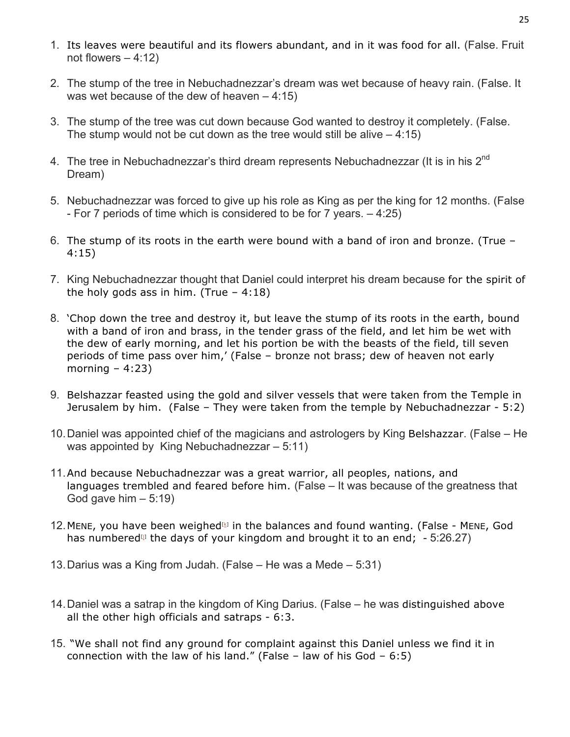- 1. Its leaves were beautiful and its flowers abundant, and in it was food for all. (False. Fruit not flowers  $-4:12$ )
- 2. The stump of the tree in Nebuchadnezzar's dream was wet because of heavy rain. (False. It was wet because of the dew of heaven – 4:15)
- 3. The stump of the tree was cut down because God wanted to destroy it completely. (False. The stump would not be cut down as the tree would still be alive  $-4:15$ )
- 4. The tree in Nebuchadnezzar's third dream represents Nebuchadnezzar (It is in his 2<sup>nd</sup> Dream)
- 5. Nebuchadnezzar was forced to give up his role as King as per the king for 12 months. (False - For 7 periods of time which is considered to be for 7 years. – 4:25)
- 6. The stump of its roots in the earth were bound with a band of iron and bronze. (True 4:15)
- 7. King Nebuchadnezzar thought that Daniel could interpret his dream because for the spirit of the holy gods ass in him. (True  $-4:18$ )
- 8. 'Chop down the tree and destroy it, but leave the stump of its roots in the earth, bound with a band of iron and brass, in the tender grass of the field, and let him be wet with the dew of early morning, and let his portion be with the beasts of the field, till seven periods of time pass over him,' (False – bronze not brass; dew of heaven not early morning  $-4:23$ )
- 9. Belshazzar feasted using the gold and silver vessels that were taken from the Temple in Jerusalem by him. (False – They were taken from the temple by Nebuchadnezzar - 5:2)
- 10.Daniel was appointed chief of the magicians and astrologers by King Belshazzar. (False He was appointed by King Nebuchadnezzar – 5:11)
- 11.And because Nebuchadnezzar was a great warrior, all peoples, nations, and languages trembled and feared before him. (False – It was because of the greatness that God gave him  $-5:19$ )
- 12. MENE, you have been weighed $\mathbb{B}$  in the balances and found wanting. (False MENE, God has numbered<sup> $\omega$ </sup> the days of your kingdom and brought it to an end; - 5:26.27)
- 13.Darius was a King from Judah. (False He was a Mede 5:31)
- 14.Daniel was a satrap in the kingdom of King Darius. (False he was distinguished above all the other high officials and satraps - 6:3.
- 15. "We shall not find any ground for complaint against this Daniel unless we find it in connection with the law of his land." (False – law of his God –  $6:5$ )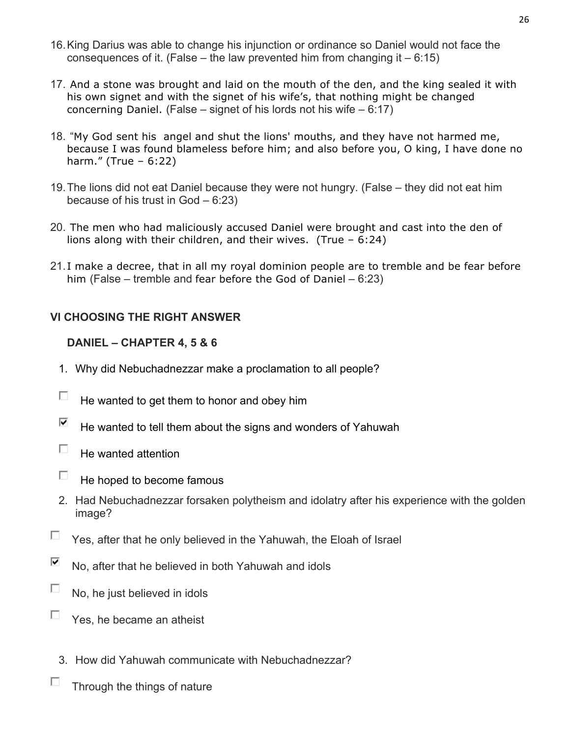- 16.King Darius was able to change his injunction or ordinance so Daniel would not face the consequences of it. (False – the law prevented him from changing it  $-6:15$ )
- 17. And a stone was brought and laid on the mouth of the den, and the king sealed it with his own signet and with the signet of his wife's, that nothing might be changed concerning Daniel. (False – signet of his lords not his wife – 6:17)
- 18. "My God sent his angel and shut the lions' mouths, and they have not harmed me, because I was found blameless before him; and also before you, O king, I have done no harm." (True – 6:22)
- 19.The lions did not eat Daniel because they were not hungry. (False they did not eat him because of his trust in God – 6:23)
- 20. The men who had maliciously accused Daniel were brought and cast into the den of lions along with their children, and their wives. (True – 6:24)
- 21. I make a decree, that in all my royal dominion people are to tremble and be fear before him (False – tremble and fear before the God of Daniel – 6:23)

### **VI CHOOSING THE RIGHT ANSWER**

### **DANIEL – CHAPTER 4, 5 & 6**

- 1. Why did Nebuchadnezzar make a proclamation to all people?
- П He wanted to get them to honor and obey him
- ⊽ He wanted to tell them about the signs and wonders of Yahuwah
- П. He wanted attention
- П He hoped to become famous
- 2. Had Nebuchadnezzar forsaken polytheism and idolatry after his experience with the golden image?
- $\Box$ Yes, after that he only believed in the Yahuwah, the Eloah of Israel
- ☑ No, after that he believed in both Yahuwah and idols
- $\Box$ No, he just believed in idols
- $\Box$  Yes, he became an atheist
	- 3. How did Yahuwah communicate with Nebuchadnezzar?
- П Through the things of nature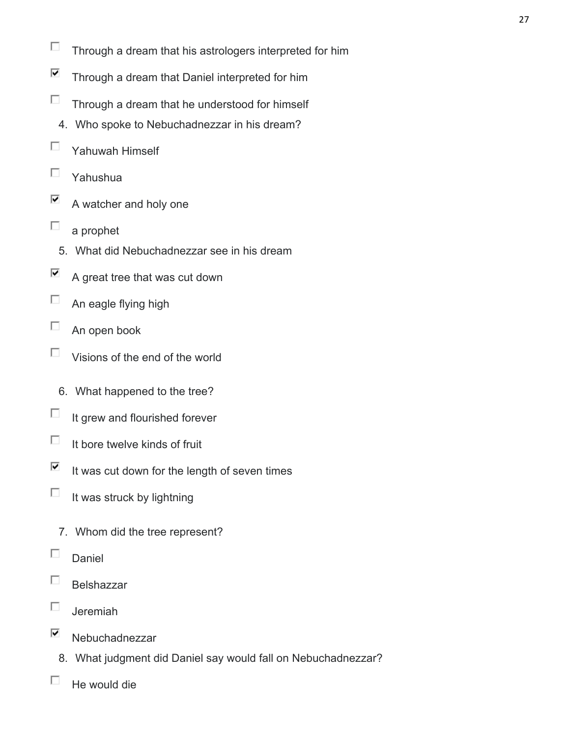- П Through a dream that his astrologers interpreted for him
- ⊽ Through a dream that Daniel interpreted for him
- П Through a dream that he understood for himself
- 4. Who spoke to Nebuchadnezzar in his dream?
- П Yahuwah Himself
- П Yahushua
- ⊽ A watcher and holy one
- П a prophet
	- 5. What did Nebuchadnezzar see in his dream
- ⊽ A great tree that was cut down
- П An eagle flying high
- П An open book
- $\Box$ Visions of the end of the world
	- 6. What happened to the tree?
- П It grew and flourished forever
- $\Box$ It bore twelve kinds of fruit
- $\overline{\blacktriangledown}$ It was cut down for the length of seven times
- П It was struck by lightning
	- 7. Whom did the tree represent?
- П Daniel
- П Belshazzar
- П. Jeremiah
- ⊽ Nebuchadnezzar
	- 8. What judgment did Daniel say would fall on Nebuchadnezzar?
- П He would die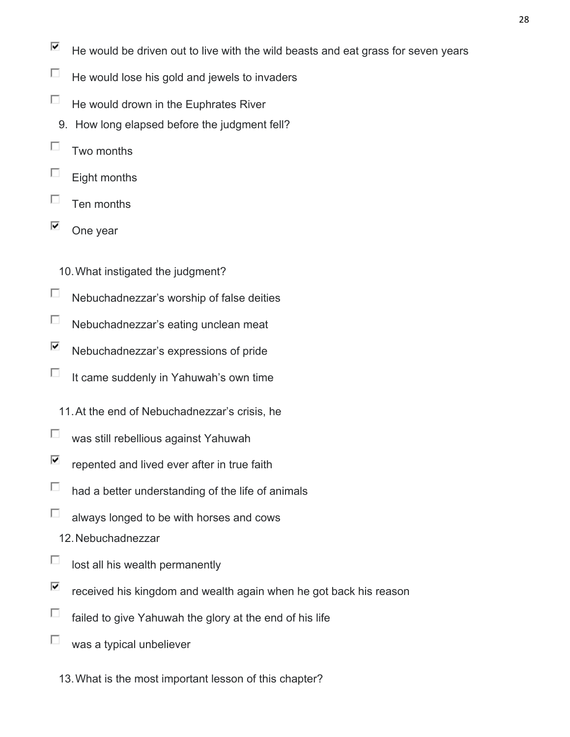- $\overline{\blacktriangledown}$ He would be driven out to live with the wild beasts and eat grass for seven years
- П He would lose his gold and jewels to invaders
- П He would drown in the Euphrates River
	- 9. How long elapsed before the judgment fell?
- П Two months
- П Eight months
- П Ten months
- ⊽ One year
	- 10.What instigated the judgment?
- $\Box$ Nebuchadnezzar's worship of false deities
- П Nebuchadnezzar's eating unclean meat
- ⊽ Nebuchadnezzar's expressions of pride
- П It came suddenly in Yahuwah's own time
	- 11.At the end of Nebuchadnezzar's crisis, he
- П was still rebellious against Yahuwah
- ☑ repented and lived ever after in true faith
- П had a better understanding of the life of animals
- П always longed to be with horses and cows
	- 12.Nebuchadnezzar
- П lost all his wealth permanently
- ⊽ received his kingdom and wealth again when he got back his reason
- П failed to give Yahuwah the glory at the end of his life
- П was a typical unbeliever
	- 13.What is the most important lesson of this chapter?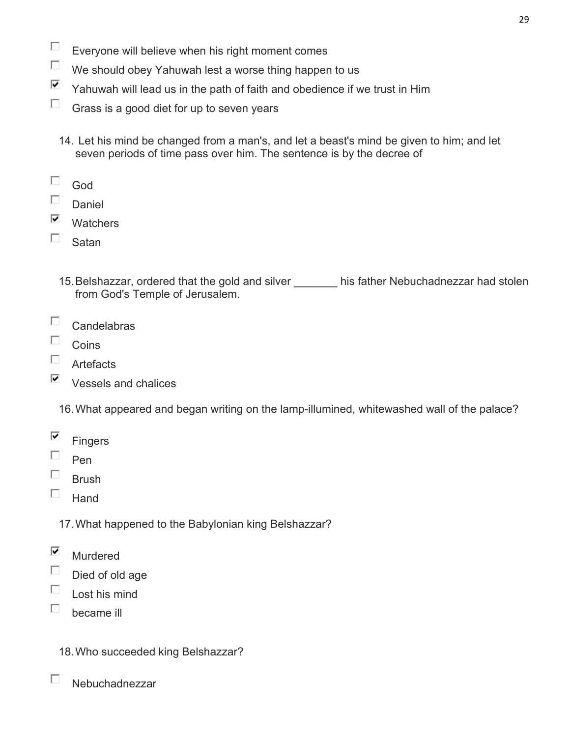- П Everyone will believe when his right moment comes
- $\Box$ We should obey Yahuwah lest a worse thing happen to us
- ⊽ Yahuwah will lead us in the path of faith and obedience if we trust in Him
- П. Grass is a good diet for up to seven years
	- 14. Let his mind be changed from a man's, and let a beast's mind be given to him; and let seven periods of time pass over him. The sentence is by the decree of
- П God
- $\Box$ Daniel
- ⊽ **Watchers**
- $\square$  Satan
	- 15. Belshazzar, ordered that the gold and silver his father Nebuchadnezzar had stolen from God's Temple of Jerusalem.
- П. **Candelabras**
- 口: Coins
- $\square$  Artefacts
- $\overline{\triangledown}$  Vessels and chalices
	- 16.What appeared and began writing on the lamp-illumined, whitewashed wall of the palace?
- $\overline{\blacktriangledown}$ **Fingers**
- $\Box$ Pen
- П. Brush
- П. **Hand** 
	- 17.What happened to the Babylonian king Belshazzar?
- ⊽ Murdered
- П Died of old age
- П Lost his mind
- П. became ill

П

- 18.Who succeeded king Belshazzar?
- Nebuchadnezzar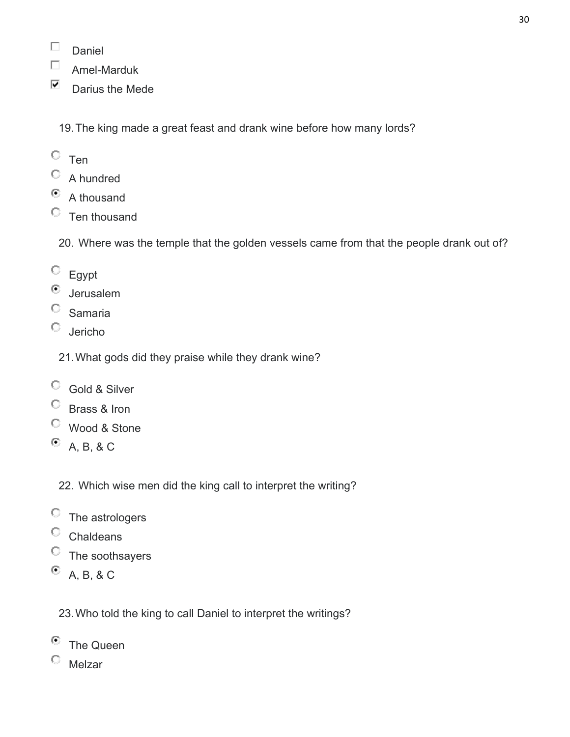- П Daniel
- $\Box$ Amel-Marduk
- $\nabla$  Darius the Mede

19.The king made a great feast and drank wine before how many lords?

- $\circ$  Ten
- A hundred
- $\bullet$  A thousand
- $C$  Ten thousand

20. Where was the temple that the golden vessels came from that the people drank out of?

- Egypt
- ⊙ Jerusalem
- $\circ$  Samaria
- Jericho
	- 21.What gods did they praise while they drank wine?
- Gold & Silver
- C Brass & Iron
- Wood & Stone
- $A, B, 8C$ 
	- 22. Which wise men did the king call to interpret the writing?
- $\circ$  The astrologers
- $\circ$  Chaldeans
- $\circ$  The soothsayers
- $^{\circ}$  A, B, & C

23.Who told the king to call Daniel to interpret the writings?

- <sup>©</sup> The Queen
- $^{\circ}$  Melzar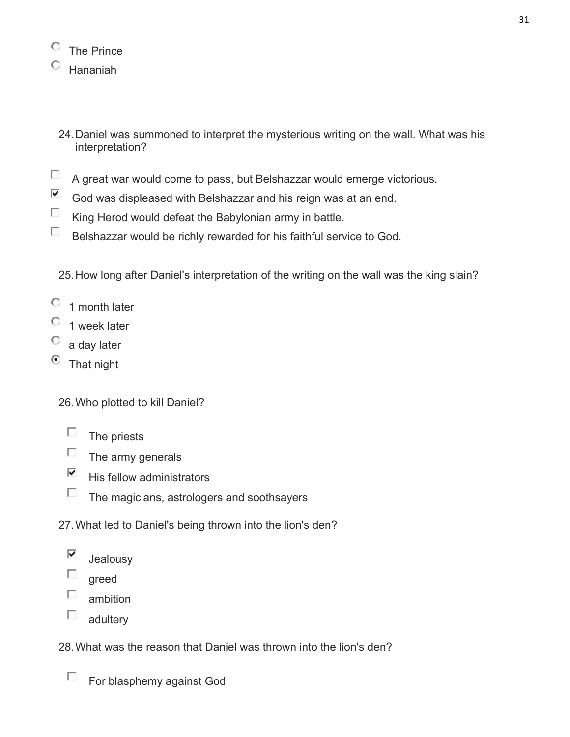| The Prince |
|------------|
| Hananiah   |

- 24.Daniel was summoned to interpret the mysterious writing on the wall. What was his interpretation?
- $\Box$ A great war would come to pass, but Belshazzar would emerge victorious.
- $\overline{\mathbf{v}}$ God was displeased with Belshazzar and his reign was at an end.
- $\Box$ King Herod would defeat the Babylonian army in battle.
- $\Box$ Belshazzar would be richly rewarded for his faithful service to God.

25.How long after Daniel's interpretation of the writing on the wall was the king slain?

- $\circ$  1 month later
- $\degree$  1 week later
- $\circ$  a day later
- $\bullet$  That night
	- 26.Who plotted to kill Daniel?
		- $\Box$  The priests
		- $\Box$ The army generals
		- $\overline{\mathbf{v}}$ His fellow administrators
		- $\Box$ The magicians, astrologers and soothsayers
	- 27.What led to Daniel's being thrown into the lion's den?
		- ⊽ Jealousy
		- П. greed
		- $\Box$ ambition
		- $\Box$ adultery
	- 28.What was the reason that Daniel was thrown into the lion's den?
		- $\Box$ For blasphemy against God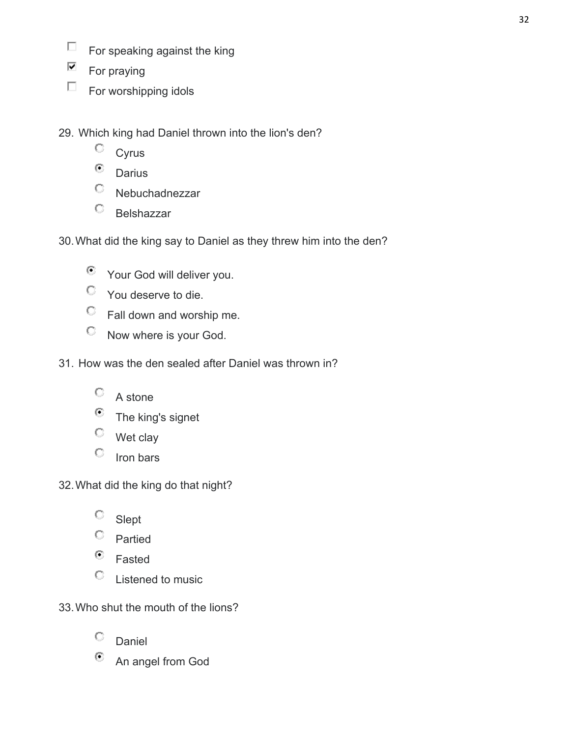- $\Box$ For speaking against the king
- $\overline{\blacksquare}$  For praying
- $\Box$  For worshipping idols
- 29. Which king had Daniel thrown into the lion's den?
	- $\circ$  Cyrus
	- $\odot$  Darius
	- Nebuchadnezzar
	- $\circ$  Belshazzar
- 30.What did the king say to Daniel as they threw him into the den?
	- $\bullet$  Your God will deliver you.
	- You deserve to die.
	- $\heartsuit$  Fall down and worship me.
	- $\heartsuit$  Now where is your God.
- 31. How was the den sealed after Daniel was thrown in?
	- $\circ$  A stone
	- $\odot$  The king's signet
	- $\heartsuit$  Wet clay
	- $\circ$  Iron bars
- 32.What did the king do that night?
	- <sup>C</sup> Slept
	- $\circ$  Partied
	- $\bullet$  Fasted
	- Listened to music
- 33.Who shut the mouth of the lions?
	- $\circ$  Daniel
	- <sup>©</sup> An angel from God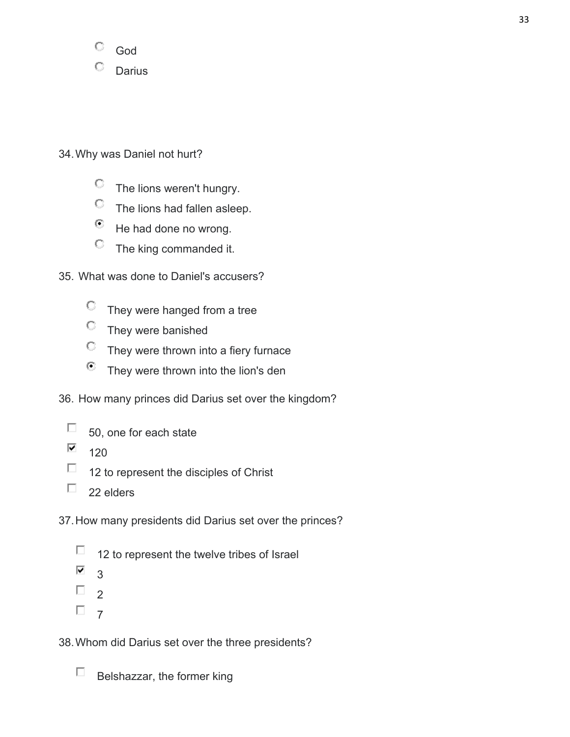

### 34.Why was Daniel not hurt?

- $\heartsuit$  The lions weren't hungry.
- The lions had fallen asleep.
- $\bullet$  He had done no wrong.
- $\heartsuit$  The king commanded it.
- 35. What was done to Daniel's accusers?
	- $\degree$  They were hanged from a tree
	- $\heartsuit$  They were banished
	- $\heartsuit$  They were thrown into a fiery furnace
	- $\bullet$  They were thrown into the lion's den
- 36. How many princes did Darius set over the kingdom?
	- $\Box$ 50, one for each state
	- $\overline{\blacktriangledown}$ 120
	- П. 12 to represent the disciples of Christ
	- П. 22 elders

37.How many presidents did Darius set over the princes?

- $\Box$ 12 to represent the twelve tribes of Israel
- $\overline{\blacktriangledown}$ 3
- $\Box$ <sub>2</sub>
- $\Box$  7

38.Whom did Darius set over the three presidents?

П Belshazzar, the former king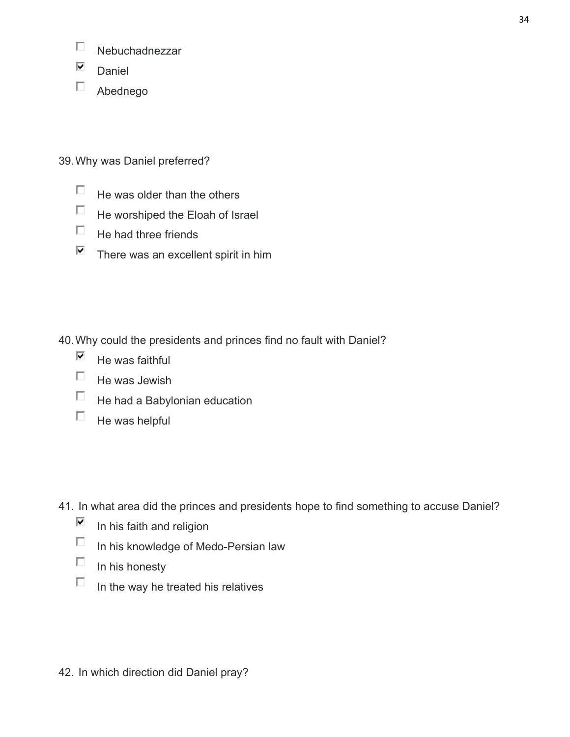- $\Box$ Nebuchadnezzar
- $\n *D*aniel$
- Abednego

39.Why was Daniel preferred?

- $\Box$  He was older than the others
- $\Box$  He worshiped the Eloah of Israel
- $\Box$  He had three friends
- $\overline{\triangledown}$  There was an excellent spirit in him

40.Why could the presidents and princes find no fault with Daniel?

- ⊽ He was faithful
- $\Box$  He was Jewish
- $\Box$  He had a Babylonian education
- $\Box$  He was helpful

41. In what area did the princes and presidents hope to find something to accuse Daniel?

- $\overline{\blacktriangledown}$ In his faith and religion
- $\Box$  In his knowledge of Medo-Persian law
- $\Box$  In his honesty
- $\Box$ In the way he treated his relatives

42. In which direction did Daniel pray?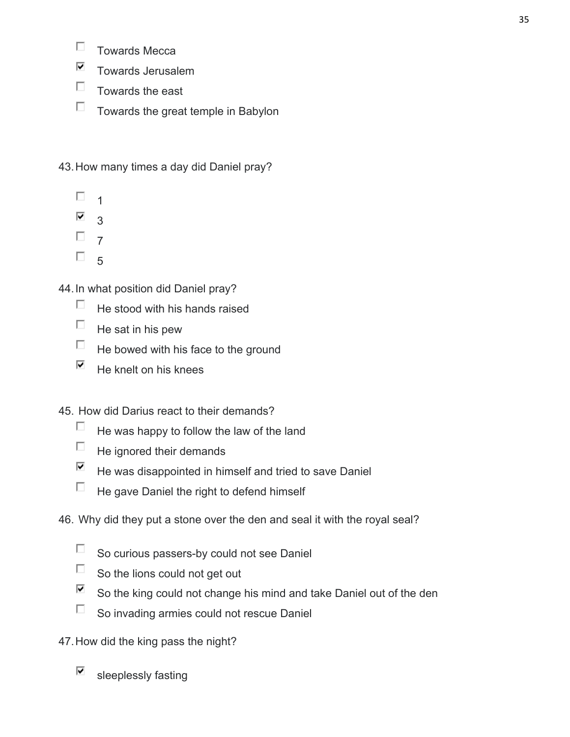- $\Box$ Towards Mecca
- $\overline{\blacktriangledown}$ Towards Jerusalem
- $\Box$  Towards the east
- $\Box$  Towards the great temple in Babylon

43.How many times a day did Daniel pray?

- $\Box$ 1
- $\overline{\blacktriangledown}$ 3
- $\Box$  7
- $\Box$  5

44.In what position did Daniel pray?

- $\Box$ He stood with his hands raised
- $\Box$  He sat in his pew
- $\Box$ He bowed with his face to the ground
- $\overline{\blacktriangledown}$ He knelt on his knees

## 45. How did Darius react to their demands?

- П. He was happy to follow the law of the land
- $\Box$ He ignored their demands
- ⊽ He was disappointed in himself and tried to save Daniel
- $\Box$ He gave Daniel the right to defend himself

## 46. Why did they put a stone over the den and seal it with the royal seal?

- $\Box$ So curious passers-by could not see Daniel
- $\Box$ So the lions could not get out
- $\overline{\blacktriangledown}$ So the king could not change his mind and take Daniel out of the den
- $\Box$ So invading armies could not rescue Daniel
- 47.How did the king pass the night?
	- ⊽ sleeplessly fasting